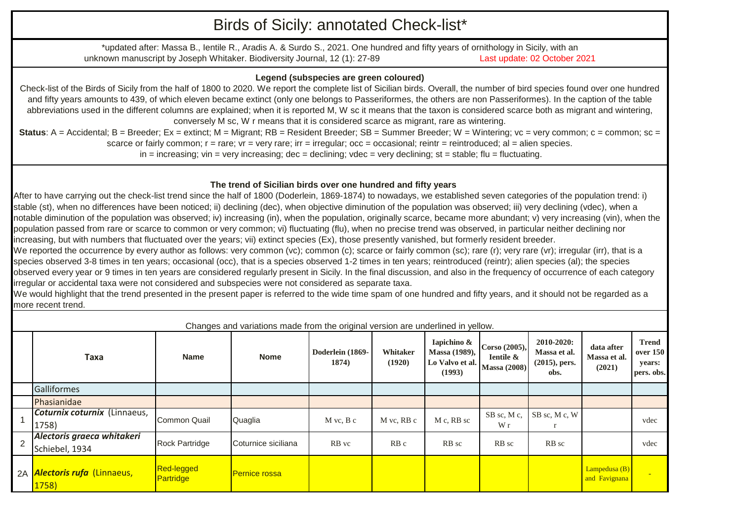## Birds of Sicily: annotated Check-list\*

\*updated after: Massa B., Ientile R., Aradis A. & Surdo S., 2021. One hundred and fifty years of ornithology in Sicily, with an unknown manuscript by Joseph Whitaker. Biodiversity Journal, 12 (1): 27-89 Last update: 02 October 2021

## **Legend (subspecies are green coloured)**

Check-list of the Birds of Sicily from the half of 1800 to 2020. We report the complete list of Sicilian birds. Overall, the number of bird species found over one hundred and fifty years amounts to 439, of which eleven became extinct (only one belongs to Passeriformes, the others are non Passeriformes). In the caption of the table abbreviations used in the different columns are explained; when it is reported M, W sc it means that the taxon is considered scarce both as migrant and wintering, conversely M sc, W r means that it is considered scarce as migrant, rare as wintering.

**Status**: A = Accidental; B = Breeder; Ex = extinct; M = Migrant; RB = Resident Breeder; SB = Summer Breeder; W = Wintering; vc = very common; c = common; sc = scarce or fairly common;  $r =$  rare;  $vr =$  very rare;  $irr =$  irregular;  $occ =$  occasional; reintr = reintroduced; al = alien species.  $in =$  increasing; vin = very increasing; dec = declining; vdec = very declining; st = stable; flu = fluctuating.

## **The trend of Sicilian birds over one hundred and fifty years**

After to have carrying out the check-list trend since the half of 1800 (Doderlein, 1869-1874) to nowadays, we established seven categories of the population trend: i) stable (st), when no differences have been noticed; ii) declining (dec), when objective diminution of the population was observed; iii) very declining (vdec), when a notable diminution of the population was observed; iv) increasing (in), when the population, originally scarce, became more abundant; v) very increasing (vin), when the population passed from rare or scarce to common or very common; vi) fluctuating (flu), when no precise trend was observed, in particular neither declining nor increasing, but with numbers that fluctuated over the years; vii) extinct species (Ex), those presently vanished, but formerly resident breeder.

We reported the occurrence by every author as follows: very common (vc); common (c); scarce or fairly common (sc); rare (r); very rare (vr); irregular (irr), that is a species observed 3-8 times in ten years; occasional (occ), that is a species observed 1-2 times in ten years; reintroduced (reintr); alien species (al); the species observed every year or 9 times in ten years are considered regularly present in Sicily. In the final discussion, and also in the frequency of occurrence of each category irregular or accidental taxa were not considered and subspecies were not considered as separate taxa.

We would highlight that the trend presented in the present paper is referred to the wide time spam of one hundred and fifty years, and it should not be regarded as a more recent trend.

|   |                                              | Changes and variations made from the original version are underlined in yellow. |                      |                           |                    |                                                           |                                                              |                                                        |                                      |                                                         |  |
|---|----------------------------------------------|---------------------------------------------------------------------------------|----------------------|---------------------------|--------------------|-----------------------------------------------------------|--------------------------------------------------------------|--------------------------------------------------------|--------------------------------------|---------------------------------------------------------|--|
|   | Taxa                                         | <b>Name</b>                                                                     | <b>Nome</b>          | Doderlein (1869-<br>1874) | Whitaker<br>(1920) | Iapichino &<br>Massa (1989),<br>Lo Valvo et al.<br>(1993) | Corso (2005),<br><b>Ientile &amp;</b><br><b>Massa (2008)</b> | 2010-2020:<br>Massa et al.<br>$(2015)$ , pers.<br>obs. | data after<br>Massa et al.<br>(2021) | <b>Trend</b><br><b>over 150</b><br>years:<br>pers. obs. |  |
|   | <b>Galliformes</b>                           |                                                                                 |                      |                           |                    |                                                           |                                                              |                                                        |                                      |                                                         |  |
|   | Phasianidae                                  |                                                                                 |                      |                           |                    |                                                           |                                                              |                                                        |                                      |                                                         |  |
|   | Coturnix coturnix (Linnaeus,<br>1758)        | Common Quail                                                                    | Quaglia              | $M$ vc, $B$ c             | M vc, RB c         | M c, RB sc                                                | SB sc, M c,<br>W r                                           | SB sc, M c, W                                          |                                      | vdec                                                    |  |
| 2 | Alectoris graeca whitakeri<br>Schiebel, 1934 | <b>Rock Partridge</b>                                                           | Coturnice siciliana  | RB vc                     | RB <sub>c</sub>    | RB sc                                                     | RB sc                                                        | RB sc                                                  |                                      | vdec                                                    |  |
|   | 2A <i>Alectoris rufa</i> (Linnaeus,<br>1758) | <b>Red-legged</b><br>Partridge                                                  | <b>Pernice rossa</b> |                           |                    |                                                           |                                                              |                                                        | Lampedusa $(B)$<br>and Favignana     |                                                         |  |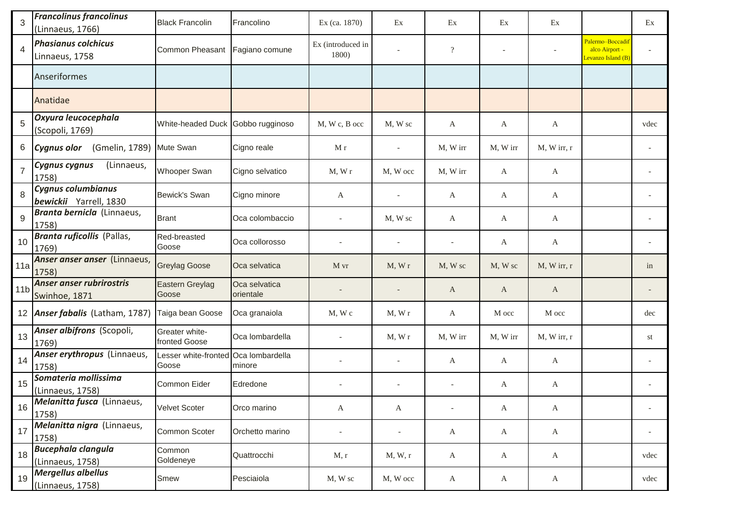| 3               | <b>Francolinus francolinus</b><br>(Linnaeus, 1766) | <b>Black Francolin</b>                        | Francolino                 | Ex (ca. 1870)              | Ex                       | Ex                       | Ex                       | Ex             |                                                          | Ex   |
|-----------------|----------------------------------------------------|-----------------------------------------------|----------------------------|----------------------------|--------------------------|--------------------------|--------------------------|----------------|----------------------------------------------------------|------|
| 4               | <b>Phasianus colchicus</b><br>Linnaeus, 1758       | Common Pheasant                               | Fagiano comune             | Ex (introduced in<br>1800) |                          | $\overline{?}$           | $\overline{\phantom{a}}$ |                | Palermo-Boccadit<br>alco Airport -<br>Levanzo Island (B) |      |
|                 | Anseriformes                                       |                                               |                            |                            |                          |                          |                          |                |                                                          |      |
|                 | Anatidae                                           |                                               |                            |                            |                          |                          |                          |                |                                                          |      |
| 5               | Oxyura leucocephala<br>(Scopoli, 1769)             | White-headed Duck Gobbo rugginoso             |                            | M, W c, B occ              | M, W sc                  | A                        | A                        | A              |                                                          | vdec |
| 6               | (Gmelin, 1789)<br><b>Cygnus olor</b>               | Mute Swan                                     | Cigno reale                | M r                        |                          | M, W irr                 | M, W irr                 | $M$ , W irr, r |                                                          |      |
| $\overline{7}$  | (Linnaeus,<br>Cygnus cygnus<br>1758)               | Whooper Swan                                  | Cigno selvatico            | M, Wr                      | M, W occ                 | M, W irr                 | A                        | A              |                                                          |      |
| 8               | Cygnus columbianus<br>bewickii Yarrell, 1830       | Bewick's Swan                                 | Cigno minore               | А                          |                          | A                        | A                        | A              |                                                          |      |
| 9               | Branta bernicla (Linnaeus,<br>1758)                | <b>Brant</b>                                  | Oca colombaccio            |                            | M, W sc                  | A                        | A                        | A              |                                                          |      |
| 10              | Branta ruficollis (Pallas,<br>1769)                | Red-breasted<br>Goose                         | Oca collorosso             |                            |                          | $\overline{\phantom{a}}$ | A                        | $\mathbf{A}$   |                                                          |      |
| 11a             | Anser anser anser (Linnaeus,<br>1758)              | <b>Greylag Goose</b>                          | Oca selvatica              | M vr                       | M, Wr                    | M, W sc                  | M, W sc                  | M, W irr, r    |                                                          | in   |
| 11 <sub>b</sub> | Anser anser rubrirostris<br>Swinhoe, 1871          | Eastern Greylag<br>Goose                      | Oca selvatica<br>orientale |                            |                          | A                        | A                        | A              |                                                          |      |
|                 | 12 <b>Anser fabalis</b> (Latham, 1787)             | Taiga bean Goose                              | Oca granaiola              | $M$ , W $c$                | M, Wr                    | A                        | M occ                    | M occ          |                                                          | dec  |
| 13              | Anser albifrons (Scopoli,<br>1769)                 | Greater white-<br>fronted Goose               | Oca lombardella            |                            | M, Wr                    | M, W irr                 | M, W irr                 | M, W irr, r    |                                                          | st   |
| 14              | Anser erythropus (Linnaeus,<br>1758)               | Lesser white-fronted Oca lombardella<br>Goose | minore                     |                            |                          | A                        | A                        | A              |                                                          |      |
| 15              | Somateria mollissima<br>(Linnaeus, 1758)           | Common Eider                                  | Edredone                   |                            |                          |                          | A                        | A              |                                                          |      |
| 16              | Melanitta fusca (Linnaeus,<br>1758)                | Velvet Scoter                                 | Orco marino                | A                          | A                        |                          | A                        | A              |                                                          |      |
| 17              | Melanitta nigra (Linnaeus,<br>1758)                | Common Scoter                                 | Orchetto marino            | $\overline{\phantom{a}}$   | $\overline{\phantom{a}}$ | A                        | $\mathbf{A}$             | $\mathbf{A}$   |                                                          |      |
| 18              | <b>Bucephala clangula</b><br>(Linnaeus, 1758)      | Common<br>Goldeneye                           | Quattrocchi                | M, r                       | M, W, r                  | A                        | A                        | $\mathbf{A}$   |                                                          | vdec |
| 19              | <b>Mergellus albellus</b><br>(Linnaeus, 1758)      | Smew                                          | Pesciaiola                 | M, W sc                    | M, W occ                 | A                        | A                        | $\mathbf{A}$   |                                                          | vdec |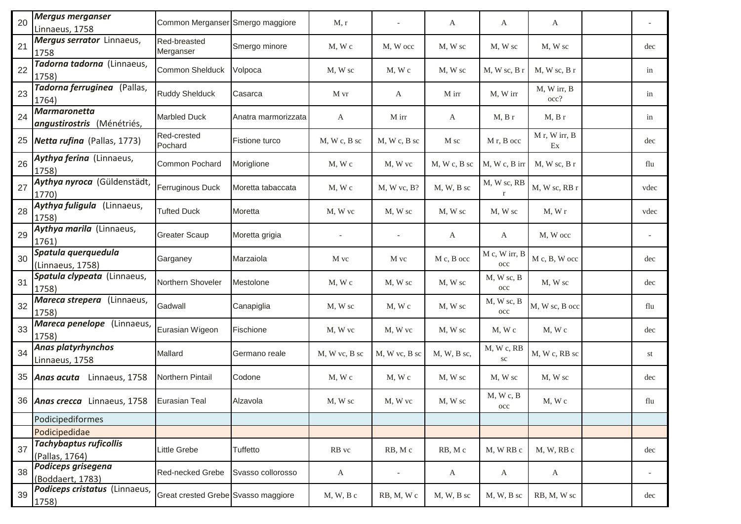| 20 | <b>Mergus merganser</b><br>Linnaeus, 1758         | Common Merganser Smergo maggiore    |                     | M, r             |                          | A                | A                             | A                   |      |
|----|---------------------------------------------------|-------------------------------------|---------------------|------------------|--------------------------|------------------|-------------------------------|---------------------|------|
| 21 | Mergus serrator Linnaeus,<br>1758                 | Red-breasted<br>Merganser           | Smergo minore       | M, Wc            | M, W occ                 | M, W sc          | M, W sc                       | M, W sc             | dec  |
| 22 | Tadorna tadorna (Linnaeus,<br>1758)               | Common Shelduck                     | Volpoca             | M, W sc          | M, Wc                    | M, W sc          | $M$ , W sc, B r               | $M$ , W sc, B r     | in   |
| 23 | Tadorna ferruginea (Pallas,<br>1764)              | <b>Ruddy Shelduck</b>               | Casarca             | M vr             | A                        | M irr            | M, W irr                      | M, W irr, B<br>occ? | in   |
| 24 | <b>Marmaronetta</b><br>angustirostris (Ménétriés, | <b>Marbled Duck</b>                 | Anatra marmorizzata | A                | M irr                    | A                | M, B r                        | M, B r              | in   |
| 25 | Netta rufina (Pallas, 1773)                       | Red-crested<br>Pochard              | Fistione turco      | $M, W, c, B,$ sc | $M, W, c, B,$ sc         | M sc             | M <sub>r</sub> , B occ        | M r, W irr, B<br>Ex | dec  |
| 26 | Aythya ferina (Linnaeus,<br>1758)                 | Common Pochard                      | Moriglione          | $M$ , W c        | M, W vc                  | $M, W, c, B,$ sc | M, W c, B irr                 | $M$ , W sc, B r     | flu  |
| 27 | Aythya nyroca (Güldenstädt,<br>1770)              | Ferruginous Duck                    | Moretta tabaccata   | $M$ , W $c$      | M, W vc, B?              | M, W, B sc       | M, W sc, RB<br>$\mathbf{r}$   | M, W sc, RB r       | vdec |
| 28 | Aythya fuligula (Linnaeus,<br>1758)               | <b>Tufted Duck</b>                  | Moretta             | M, W vc          | M, W sc                  | M, W sc          | M, W sc                       | M, Wr               | vdec |
| 29 | Aythya marila (Linnaeus,<br>1761)                 | <b>Greater Scaup</b>                | Moretta grigia      |                  | $\overline{\phantom{a}}$ | A                | A                             | M, W occ            |      |
| 30 | Spatula querquedula<br>(Linnaeus, 1758)           | Garganey                            | Marzaiola           | M vc             | M vc                     | M c, B occ       | M c, W irr, B<br>$_{\rm occ}$ | M c, B, W occ       | dec  |
| 31 | Spatula clypeata (Linnaeus,<br>1758)              | Northern Shoveler                   | Mestolone           | $M$ , W c        | M, W sc                  | M, W sc          | M, W sc, B<br>$_{\rm occ}$    | M, W sc             | dec  |
| 32 | Mareca strepera (Linnaeus,<br>1758)               | Gadwall                             | Canapiglia          | M, W sc          | M, Wc                    | M, W sc          | M, W sc, B<br>$_{\rm occ}$    | M, W sc, B occ      | flu  |
| 33 | Mareca penelope (Linnaeus,<br>1758)               | Eurasian Wigeon                     | Fischione           | M, W vc          | M, W vc                  | M, W sc          | M, W c                        | M, W c              | dec  |
| 34 | <b>Anas platyrhynchos</b><br>Linnaeus, 1758       | Mallard                             | Germano reale       | M, W vc, B sc    | M, W vc, B sc            | M, W, B sc,      | M, W c, RB<br>${\rm sc}$      | M, W c, RB sc       | st   |
| 35 | Anas acuta Linnaeus, 1758                         | Northern Pintail                    | Codone              | $M$ , W $c$      | M, Wc                    | M, W sc          | M, W sc                       | M, W sc             | dec  |
|    | 36   Anas crecca Linnaeus, 1758   Eurasian Teal   |                                     | Alzavola            | M, W sc          | M, W vc                  | M, W sc          | M, Wc, B<br>$_{\rm occ}$      | M, W c              | flu  |
|    | Podicipediformes                                  |                                     |                     |                  |                          |                  |                               |                     |      |
|    | Podicipedidae                                     |                                     |                     |                  |                          |                  |                               |                     |      |
| 37 | <b>Tachybaptus ruficollis</b><br>(Pallas, 1764)   | Little Grebe                        | Tuffetto            | RB vc            | RB, Mc                   | RB, Mc           | M, WRB c                      | M, W, RB c          | dec  |
| 38 | Podiceps grisegena<br>(Boddaert, 1783)            | Red-necked Grebe                    | Svasso collorosso   | A                | $\overline{\phantom{a}}$ | A                | A                             | $\mathbf{A}$        |      |
| 39 | Podiceps cristatus (Linnaeus,<br>1758)            | Great crested Grebe Svasso maggiore |                     | $M, W, B$ c      | RB, M, Wc                | M, W, B sc       | M, W, B sc                    | RB, M, W sc         | dec  |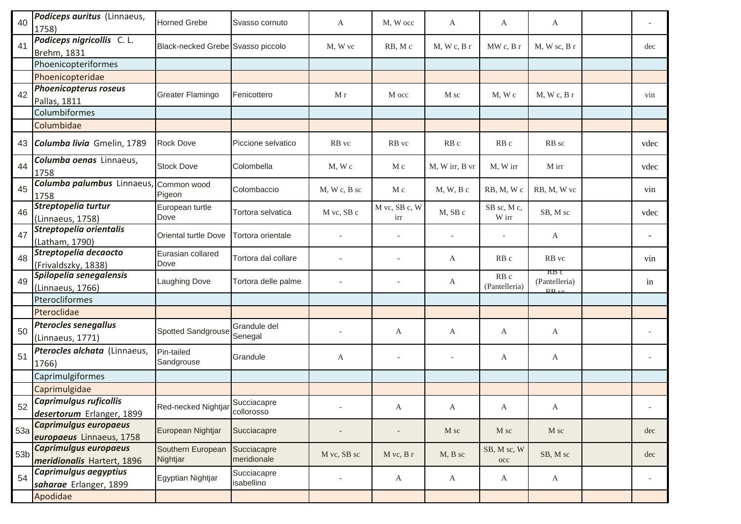| 40              | Podiceps auritus (Linnaeus,<br>1758)                       | <b>Horned Grebe</b>               | Svasso cornuto             | A            | M, W occ                 | A              | A                     | A                                  |      |
|-----------------|------------------------------------------------------------|-----------------------------------|----------------------------|--------------|--------------------------|----------------|-----------------------|------------------------------------|------|
| 41              | Podiceps nigricollis C. L.<br>Brehm, 1831                  | Black-necked Grebe Svasso piccolo |                            | M, W vc      | RB, Mc                   | M, Wc, Br      | MW c, B r             | $M$ , W sc, B r                    | dec  |
|                 | Phoenicopteriformes                                        |                                   |                            |              |                          |                |                       |                                    |      |
|                 | Phoenicopteridae                                           |                                   |                            |              |                          |                |                       |                                    |      |
| 42              | <b>Phoenicopterus roseus</b><br>Pallas, 1811               | Greater Flamingo                  | Fenicottero                | Mr           | M occ                    | M sc           | M, Wc                 | M, Wc, Br                          | vin  |
|                 | Columbiformes                                              |                                   |                            |              |                          |                |                       |                                    |      |
|                 | Columbidae                                                 |                                   |                            |              |                          |                |                       |                                    |      |
| 43              | Columba livia Gmelin, 1789                                 | <b>Rock Dove</b>                  | Piccione selvatico         | RB vc        | RB vc                    | RB c           | RB c                  | RB sc                              | vdec |
| 44              | Columba oenas Linnaeus,<br>1758                            | <b>Stock Dove</b>                 | Colombella                 | M, Wc        | M c                      | M, W irr, B vr | M, W irr              | M irr                              | vdec |
| 45              | Columba palumbus Linnaeus, Common wood<br>1758             | Pigeon                            | Colombaccio                | M, W c, B sc | M c                      | $M, W, B$ c    | RB, M, Wc             | RB, M, W vc                        | vin  |
| 46              | Streptopelia turtur<br>(Linnaeus, 1758)                    | European turtle<br>Dove           | Tortora selvatica          | M vc, SB c   | M vc, SB c, W<br>irr     | M, SB c        | SB sc, M c,<br>W irr  | SB, M sc                           | vdec |
| 47              | Streptopelia orientalis<br>(Latham, 1790)                  | Oriental turtle Dove              | Tortora orientale          |              | $\overline{\phantom{a}}$ | $\blacksquare$ |                       | $\mathbf{A}$                       |      |
| 48              | Streptopelia decaocto<br>(Frivaldszky, 1838)               | Eurasian collared<br>Dove         | Tortora dal collare        |              |                          | A              | RB <sub>c</sub>       | RB vc                              | vin  |
| 49              | Spilopelia senegalensis<br>(Linnaeus, 1766)                | Laughing Dove                     | Tortora delle palme        |              |                          | A              | RB c<br>(Pantelleria) | KB C<br>(Pantelleria)<br>$RR_{vr}$ | in   |
|                 | Pterocliformes                                             |                                   |                            |              |                          |                |                       |                                    |      |
|                 | Pteroclidae                                                |                                   |                            |              |                          |                |                       |                                    |      |
| 50              | <b>Pterocles senegallus</b><br>(Linnaeus, 1771)            | Spotted Sandgrouse                | Grandule del<br>Senegal    |              | A                        | A              | A                     | A                                  |      |
| 51              | Pterocles alchata (Linnaeus,<br>1766)                      | Pin-tailed<br>Sandgrouse          | Grandule                   | A            | $\overline{\phantom{a}}$ |                | A                     | A                                  |      |
|                 | Caprimulgiformes                                           |                                   |                            |              |                          |                |                       |                                    |      |
|                 | Caprimulgidae                                              |                                   |                            |              |                          |                |                       |                                    |      |
| 52              | <b>Caprimulgus ruficollis</b><br>desertorum Erlanger, 1899 | Red-necked Nightjar allows        | Succiacapre                |              | A                        | A              | A                     | A                                  |      |
| 53a             | Caprimulgus europaeus<br>europaeus Linnaeus, 1758          | European Nightjar                 | Succiacapre                |              |                          | M sc           | M sc                  | M sc                               | dec  |
| 53 <sub>b</sub> | Caprimulgus europaeus<br>meridionalis Hartert, 1896        | Southern European<br>Nightjar     | Succiacapre<br>meridionale | M vc, SB sc  | M vc, B r                | M, B sc        | SB, M sc, W<br>occ    | SB, M sc                           | dec  |
| 54              | Caprimulgus aegyptius<br>saharae Erlanger, 1899            | Egyptian Nightjar                 | Succiacapre<br>isabellino  |              | $\mathbf{A}$             | A              | A                     | $\mathbf{A}$                       |      |
|                 | Apodidae                                                   |                                   |                            |              |                          |                |                       |                                    |      |
|                 |                                                            |                                   |                            |              |                          |                |                       |                                    |      |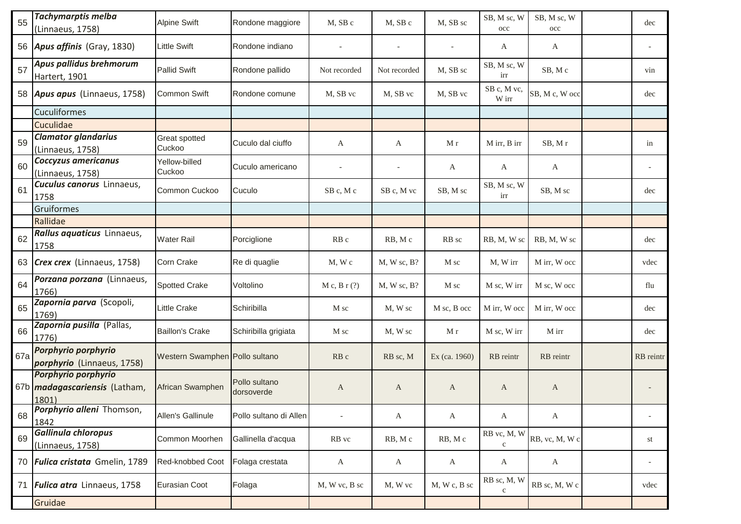| 55  | <b>Tachymarptis melba</b><br>(Linnaeus, 1758)                        | <b>Alpine Swift</b>            | Rondone maggiore            | M, SB c           | M, SB c                  | M, SB sc                 | SB, M sc, W<br>$_{\rm occ}$ | SB, M sc, W<br>occ | dec       |
|-----|----------------------------------------------------------------------|--------------------------------|-----------------------------|-------------------|--------------------------|--------------------------|-----------------------------|--------------------|-----------|
|     | 56 <b>Apus affinis</b> (Gray, 1830)                                  | <b>Little Swift</b>            | Rondone indiano             |                   | $\overline{\phantom{a}}$ | $\overline{\phantom{a}}$ | A                           | A                  |           |
| 57  | Apus pallidus brehmorum<br>Hartert, 1901                             | <b>Pallid Swift</b>            | Rondone pallido             | Not recorded      | Not recorded             | M, SB sc                 | SB, M sc, W<br>irr          | SB, Mc             | vin       |
|     | 58 Apus apus (Linnaeus, 1758)                                        | Common Swift                   | Rondone comune              | M, SB vc          | M, SB vc                 | M, SB vc                 | SB c, M vc,<br>W irr        | SB, M c, W occ     | dec       |
|     | Cuculiformes                                                         |                                |                             |                   |                          |                          |                             |                    |           |
|     | Cuculidae                                                            |                                |                             |                   |                          |                          |                             |                    |           |
| 59  | <b>Clamator glandarius</b><br>(Linnaeus, 1758)                       | Great spotted<br>Cuckoo        | Cuculo dal ciuffo           | A                 | A                        | M r                      | M irr, B irr                | SB, Mr             | in        |
| 60  | Coccyzus americanus<br>(Linnaeus, 1758)                              | Yellow-billed<br>Cuckoo        | Cuculo americano            | $\overline{a}$    |                          | A                        | A                           | A                  |           |
| 61  | <b>Cuculus canorus</b> Linnaeus,<br>1758                             | Common Cuckoo                  | Cuculo                      | SB c, M c         | SB c, M vc               | SB, M sc                 | SB, M sc, W<br>irr          | SB, M sc           | dec       |
|     | Gruiformes                                                           |                                |                             |                   |                          |                          |                             |                    |           |
|     | Rallidae                                                             |                                |                             |                   |                          |                          |                             |                    |           |
| 62  | Rallus aquaticus Linnaeus,<br>1758                                   | <b>Water Rail</b>              | Porciglione                 | RB <sub>c</sub>   | RB, Mc                   | RB sc                    | RB, M, W sc                 | RB, M, W sc        | dec       |
|     | 63 Crex crex (Linnaeus, 1758)                                        | Corn Crake                     | Re di quaglie               | $M$ , $W$ $c$     | $M, W$ sc, $B$ ?         | M sc                     | M, W irr                    | M irr, W occ       | vdec      |
| 64  | Porzana porzana (Linnaeus,<br>1766)                                  | <b>Spotted Crake</b>           | Voltolino                   | $M c$ , $B r$ (?) | $M, W$ sc, $B$ ?         | M sc                     | M sc, W irr                 | M sc, W occ        | flu       |
| 65  | Zapornia parva (Scopoli,<br>1769)                                    | Little Crake                   | Schiribilla                 | M sc              | M, W sc                  | M sc, B occ              | M irr, W occ                | M irr, W occ       | dec       |
| 66  | Zapornia pusilla (Pallas,<br>1776)                                   | <b>Baillon's Crake</b>         | Schiribilla grigiata        | M sc              | M, W sc                  | M r                      | M sc, W irr                 | M irr              | dec       |
| 67a | Porphyrio porphyrio<br><i>porphyrio</i> (Linnaeus, 1758)             | Western Swamphen Pollo sultano |                             | RB <sub>c</sub>   | RB sc, M                 | Ex (ca. 1960)            | RB reintr                   | RB reintr          | RB reintr |
|     | Porphyrio porphyrio<br>67b <i>madagascariensis</i> (Latham,<br>1801) | African Swamphen               | Pollo sultano<br>dorsoverde | A                 | A                        | A                        | A                           | A                  |           |
| 68  | Porphyrio alleni Thomson,<br>1842                                    | Allen's Gallinule              | Pollo sultano di Allen      |                   | $\mathbf{A}$             | A                        | $\mathbf{A}$                | A                  |           |
| 69  | Gallinula chloropus<br>(Linnaeus, 1758)                              | Common Moorhen                 | Gallinella d'acqua          | RB vc             | RB, Mc                   | RB, Mc                   | RB vc, M, W<br>$\mathbf{C}$ | RB, vc, M, W c     | st        |
|     | 70 <b>Fulica cristata</b> Gmelin, 1789                               | Red-knobbed Coot               | Folaga crestata             | A                 | A                        | A                        | A                           | A                  |           |
| 71  | Fulica atra Linnaeus, 1758                                           | Eurasian Coot                  | Folaga                      | M, W vc, B sc     | M, W vc                  | $M$ , W c, B sc          | RB sc, M, W<br>$\mathbf{C}$ | RB sc, M, W c      | vdec      |
|     | Gruidae                                                              |                                |                             |                   |                          |                          |                             |                    |           |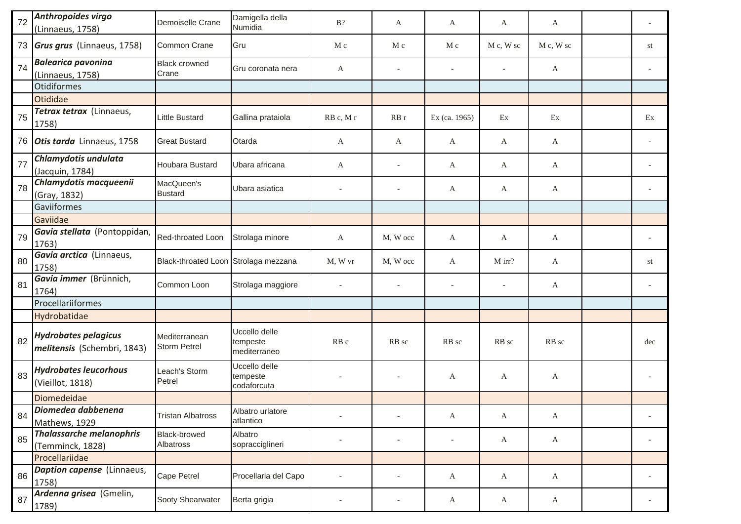| 72 | Anthropoides virgo<br>(Linnaeus, 1758)                     | Demoiselle Crane                     | Damigella della<br>Numidia                | $B$ ?                    | A                        | A                        | A            | A            |                          |
|----|------------------------------------------------------------|--------------------------------------|-------------------------------------------|--------------------------|--------------------------|--------------------------|--------------|--------------|--------------------------|
| 73 | Grus grus (Linnaeus, 1758)                                 | Common Crane                         | Gru                                       | M c                      | M c                      | M c                      | M c, W sc    | M c, W sc    | st                       |
| 74 | <b>Balearica pavonina</b><br>(Linnaeus, 1758)              | <b>Black crowned</b><br>Crane        | Gru coronata nera                         | A                        |                          |                          |              | A            |                          |
|    | <b>Otidiformes</b>                                         |                                      |                                           |                          |                          |                          |              |              |                          |
|    | Otididae                                                   |                                      |                                           |                          |                          |                          |              |              |                          |
| 75 | Tetrax tetrax (Linnaeus,<br>1758)                          | Little Bustard                       | Gallina prataiola                         | RB c, M r                | RBr                      | Ex (ca. 1965)            | Ex           | Ex           | Ex                       |
| 76 | Otis tarda Linnaeus, 1758                                  | <b>Great Bustard</b>                 | Otarda                                    | A                        | A                        | A                        | A            | A            |                          |
| 77 | Chlamydotis undulata<br>(Jacquin, 1784)                    | Houbara Bustard                      | Ubara africana                            | A                        |                          | A                        | A            | A            |                          |
| 78 | Chlamydotis macqueenii<br>(Gray, 1832)                     | MacQueen's<br><b>Bustard</b>         | Ubara asiatica                            | $\sim$                   |                          | A                        | A            | A            |                          |
|    | Gaviiformes                                                |                                      |                                           |                          |                          |                          |              |              |                          |
|    | Gaviidae                                                   |                                      |                                           |                          |                          |                          |              |              |                          |
| 79 | Gavia stellata (Pontoppidan,<br>1763)                      | Red-throated Loon                    | Strolaga minore                           | A                        | M, W occ                 | A                        | A            | $\mathbf{A}$ |                          |
| 80 | Gavia arctica (Linnaeus,<br>1758)                          | Black-throated Loon Strolaga mezzana |                                           | M, W vr                  | M, W occ                 | A                        | M irr?       | A            | st                       |
| 81 | Gavia immer (Brünnich,<br>1764)                            | Common Loon                          | Strolaga maggiore                         |                          |                          |                          |              | A            |                          |
|    | Procellariiformes                                          |                                      |                                           |                          |                          |                          |              |              |                          |
|    | Hydrobatidae                                               |                                      |                                           |                          |                          |                          |              |              |                          |
| 82 | <b>Hydrobates pelagicus</b><br>melitensis (Schembri, 1843) | Mediterranean<br><b>Storm Petrel</b> | Uccello delle<br>tempeste<br>mediterraneo | RB c                     | RB sc                    | RB sc                    | RB sc        | RB sc        | dec                      |
| 83 | <b>Hydrobates leucorhous</b><br>(Vieillot, 1818)           | Leach's Storm<br>Petrel              | Uccello delle<br>tempeste<br>codaforcuta  | $\overline{\phantom{a}}$ |                          | A                        | A            | A            |                          |
|    | Diomedeidae                                                |                                      |                                           |                          |                          |                          |              |              |                          |
| 84 | Diomedea dabbenena<br>Mathews, 1929                        | <b>Tristan Albatross</b>             | Albatro urlatore<br>atlantico             |                          |                          | A                        | $\mathbf{A}$ | A            |                          |
| 85 | <b>Thalassarche melanophris</b><br>(Temminck, 1828)        | Black-browed<br>Albatross            | Albatro<br>sopracciglineri                |                          |                          | $\overline{\phantom{a}}$ | $\mathbf{A}$ | $\mathbf{A}$ | $\overline{\phantom{a}}$ |
|    | Procellariidae                                             |                                      |                                           |                          |                          |                          |              |              |                          |
| 86 | Daption capense (Linnaeus,<br>1758)                        | Cape Petrel                          | Procellaria del Capo                      |                          |                          | A                        | $\mathbf{A}$ | $\mathbf{A}$ |                          |
| 87 | Ardenna grisea (Gmelin,<br>1789)                           | Sooty Shearwater                     | Berta grigia                              | $\overline{\phantom{a}}$ | $\overline{\phantom{a}}$ | A                        | A            | $\mathbf{A}$ |                          |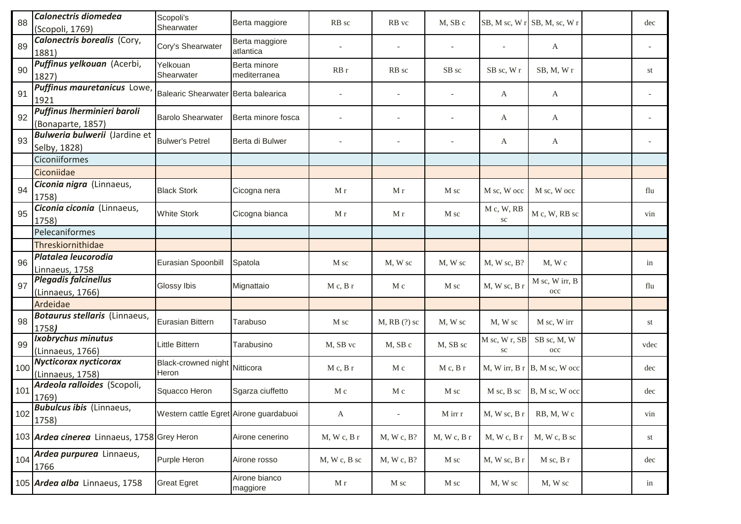| 88  | Calonectris diomedea<br>(Scopoli, 1769)              | Scopoli's<br>Shearwater                | Berta maggiore               | RB sc           | RB vc                    | M, SB c                  |                             | SB, M sc, W r SB, M, sc, W r   | dec  |
|-----|------------------------------------------------------|----------------------------------------|------------------------------|-----------------|--------------------------|--------------------------|-----------------------------|--------------------------------|------|
| 89  | Calonectris borealis (Cory,<br>1881)                 | Cory's Shearwater                      | Berta maggiore<br>atlantica  |                 |                          | $\overline{\phantom{a}}$ |                             | A                              |      |
| 90  | Puffinus yelkouan (Acerbi,<br>1827)                  | Yelkouan<br>Shearwater                 | Berta minore<br>mediterranea | RBr             | RB sc                    | SB sc                    | SB sc, W r                  | SB, M, Wr                      | st   |
| 91  | Puffinus mauretanicus Lowe,<br>1921                  | Balearic Shearwater Berta balearica    |                              |                 |                          |                          | A                           | A                              |      |
| 92  | Puffinus Iherminieri baroli<br>(Bonaparte, 1857)     | <b>Barolo Shearwater</b>               | Berta minore fosca           |                 |                          |                          | A                           | A                              |      |
| 93  | <b>Bulweria bulwerii</b> (Jardine et<br>Selby, 1828) | <b>Bulwer's Petrel</b>                 | Berta di Bulwer              |                 |                          |                          | A                           | A                              |      |
|     | Ciconiiformes                                        |                                        |                              |                 |                          |                          |                             |                                |      |
|     | Ciconiidae                                           |                                        |                              |                 |                          |                          |                             |                                |      |
| 94  | Ciconia nigra (Linnaeus,<br>1758)                    | <b>Black Stork</b>                     | Cicogna nera                 | M r             | M r                      | M sc                     | M sc, W occ                 | M sc, W occ                    | flu  |
| 95  | Ciconia ciconia (Linnaeus,<br>1758)                  | <b>White Stork</b>                     | Cicogna bianca               | M r             | M r                      | M sc                     | M c, W, RB<br>SC            | M c, W, RB sc                  | vin  |
|     | Pelecaniformes                                       |                                        |                              |                 |                          |                          |                             |                                |      |
|     | Threskiornithidae                                    |                                        |                              |                 |                          |                          |                             |                                |      |
| 96  | Platalea leucorodia<br>Linnaeus, 1758                | Eurasian Spoonbill                     | Spatola                      | M sc            | M, W sc                  | M, W sc                  | $M$ , W sc, B?              | M, W c                         | in   |
| 97  | <b>Plegadis falcinellus</b><br>(Linnaeus, 1766)      | Glossy Ibis                            | Mignattaio                   | $M c$ , $B r$   | M c                      | M sc                     | M, W sc, B r                | M sc, W irr, B<br>$_{\rm occ}$ | flu  |
|     | Ardeidae                                             |                                        |                              |                 |                          |                          |                             |                                |      |
| 98  | Botaurus stellaris (Linnaeus,<br>1758)               | Eurasian Bittern                       | Tarabuso                     | M sc            | $M$ , RB $(?)$ sc        | M, W sc                  | M, W sc                     | M sc, W irr                    | st   |
| 99  | Ixobrychus minutus<br>(Linnaeus, 1766)               | Little Bittern                         | Tarabusino                   | M, SB vc        | M, SB c                  | M, SB sc                 | M sc, W r, SB<br>${\rm sc}$ | SB sc, M, W<br>$_{\rm occ}$    | vdec |
| 100 | <b>Nycticorax nycticorax</b><br>(Linnaeus, 1758)     | Black-crowned night<br>Heron           | Nitticora                    | $M c$ , $B r$   | M c                      | $M c$ , $B r$            | M, W irr, B r               | B, M sc, W occ                 | dec  |
| 101 | Ardeola ralloides (Scopoli,<br>1769)                 | Squacco Heron                          | Sgarza ciuffetto             | M c             | M c                      | M sc                     | M sc, B sc                  | B, M sc, W occ                 | dec  |
| 102 | <b>Bubulcus ibis</b> (Linnaeus,<br>1758)             | Western cattle Egret Airone guardabuoi |                              | A               | $\overline{\phantom{a}}$ | M irr r                  | M, W sc, B r                | RB, M, Wc                      | vin  |
|     | 103 Ardea cinerea Linnaeus, 1758 Grey Heron          |                                        | Airone cenerino              | M, Wc, Br       | M, W, c, B?              | M, W, c, B               | M, Wc, Br                   | M, W c, B sc                   | st   |
| 104 | Ardea purpurea Linnaeus,<br>1766                     | Purple Heron                           | Airone rosso                 | $M$ , W c, B sc | M, W, c, B?              | M sc                     | M, W sc, B r                | $M$ sc, $B$ r                  | dec  |
|     | 105 Ardea alba Linnaeus, 1758                        | <b>Great Egret</b>                     | Airone bianco<br>maggiore    | M r             | M sc                     | M sc                     | M, W sc                     | M, W sc                        | in   |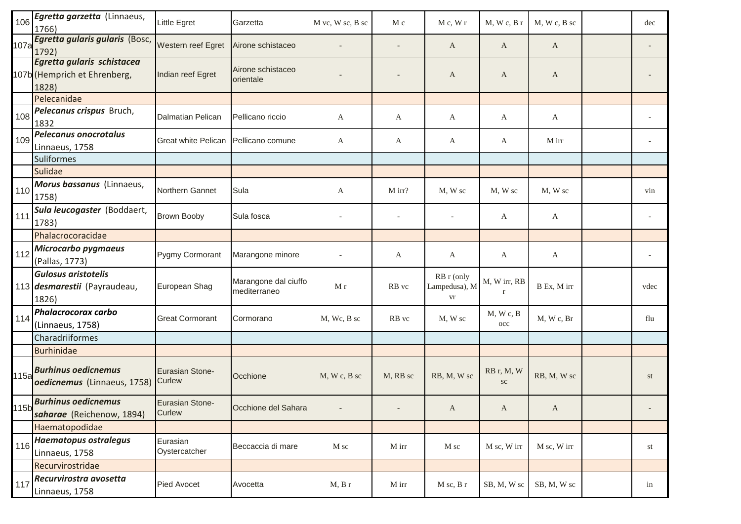| 106  | Egretta garzetta (Linnaeus,<br>1766)                                | Little Egret                     | Garzetta                             | M vc, W sc, B sc         | M c      | M c, W r                          | M, W, c, B                  | $M, W, c, B,$ sc | dec  |
|------|---------------------------------------------------------------------|----------------------------------|--------------------------------------|--------------------------|----------|-----------------------------------|-----------------------------|------------------|------|
| 107a | Egretta gularis gularis (Bosc,<br>1792)                             | Western reef Egret               | Airone schistaceo                    |                          |          | A                                 | A                           | A                |      |
|      | Egretta gularis schistacea<br>107b (Hemprich et Ehrenberg,<br>1828) | Indian reef Egret                | Airone schistaceo<br>orientale       |                          |          | A                                 | A                           | A                |      |
|      | Pelecanidae                                                         |                                  |                                      |                          |          |                                   |                             |                  |      |
| 108  | Pelecanus crispus Bruch,<br>1832                                    | Dalmatian Pelican                | Pellicano riccio                     | A                        | A        | A                                 | A                           | A                |      |
| 109  | <b>Pelecanus onocrotalus</b><br>Linnaeus, 1758                      | <b>Great white Pelican</b>       | Pellicano comune                     | A                        | A        | A                                 | A                           | M irr            |      |
|      | <b>Suliformes</b>                                                   |                                  |                                      |                          |          |                                   |                             |                  |      |
|      | <b>Sulidae</b>                                                      |                                  |                                      |                          |          |                                   |                             |                  |      |
| 110  | Morus bassanus (Linnaeus,<br>1758)                                  | Northern Gannet                  | Sula                                 | A                        | M irr?   | M, W sc                           | M, W sc                     | M, W sc          | vin  |
| 111  | Sula leucogaster (Boddaert,<br>1783)                                | <b>Brown Booby</b>               | Sula fosca                           |                          |          |                                   | A                           | A                |      |
|      | Phalacrocoracidae                                                   |                                  |                                      |                          |          |                                   |                             |                  |      |
| 112  | Microcarbo pygmaeus<br>(Pallas, 1773)                               | Pygmy Cormorant                  | Marangone minore                     |                          | A        | A                                 | A                           | A                |      |
|      | <b>Gulosus aristotelis</b><br>113 desmarestii (Payraudeau,<br>1826) | European Shag                    | Marangone dal ciuffo<br>mediterraneo | $\mathbf M$ r            | RB vc    | RB r (only<br>Lampedusa), M<br>vr | M, W irr, RB<br>$\mathbf r$ | B Ex, M irr      | vdec |
| 114  | Phalacrocorax carbo<br>(Linnaeus, 1758)                             | <b>Great Cormorant</b>           | Cormorano                            | M, Wc, B sc              | RB vc    | M, W sc                           | M, Wc, B<br>$_{\rm occ}$    | M, Wc, Br        | flu  |
|      | Charadriiformes                                                     |                                  |                                      |                          |          |                                   |                             |                  |      |
|      | <b>Burhinidae</b>                                                   |                                  |                                      |                          |          |                                   |                             |                  |      |
| 115a | <b>Burhinus oedicnemus</b><br>oedicnemus (Linnaeus, 1758)           | Eurasian Stone-<br>Curlew        | Occhione                             | M, W c, B sc             | M, RB sc | RB, M, W sc                       | RB r, M, W<br>${\rm sc}$    | RB, M, W sc      | st   |
| 115b | <b>Burhinus oedicnemus</b><br>saharae (Reichenow, 1894)             | <b>Eurasian Stone-</b><br>Curlew | Occhione del Sahara                  | $\overline{\phantom{a}}$ |          | A                                 | A                           | A                |      |
|      | Haematopodidae                                                      |                                  |                                      |                          |          |                                   |                             |                  |      |
| 116  | <b>Haematopus ostralegus</b><br>Linnaeus, 1758                      | Eurasian<br>Oystercatcher        | Beccaccia di mare                    | M sc                     | M irr    | M sc                              | M sc, W irr                 | M sc, W irr      | st   |
|      | Recurvirostridae                                                    |                                  |                                      |                          |          |                                   |                             |                  |      |
| 117  | Recurvirostra avosetta<br>Linnaeus, 1758                            | Pied Avocet                      | Avocetta                             | M, B r                   | M irr    | M sc, B r                         | SB, M, W sc                 | SB, M, W sc      | in   |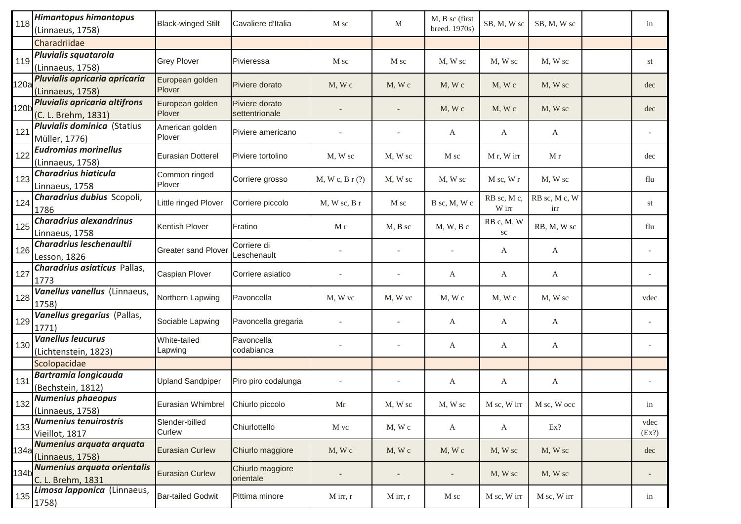| 118  | <b>Himantopus himantopus</b><br>(Linnaeus, 1758)     | <b>Black-winged Stilt</b>         | Cavaliere d'Italia               | M sc             | M          | M, B sc (first<br>breed. 1970s) | SB, M, W sc              | SB, M, W sc          | in            |
|------|------------------------------------------------------|-----------------------------------|----------------------------------|------------------|------------|---------------------------------|--------------------------|----------------------|---------------|
|      | Charadriidae                                         |                                   |                                  |                  |            |                                 |                          |                      |               |
| 119  | Pluvialis squatarola<br>(Linnaeus, 1758)             | <b>Grey Plover</b>                | Pivieressa                       | M sc             | M sc       | M, W sc                         | M, W sc                  | M, W sc              | st            |
| 120a | Pluvialis apricaria apricaria<br>(Linnaeus, 1758)    | European golden<br>Plover         | Piviere dorato                   | $M$ , W $c$      | M, Wc      | $M$ , W $c$                     | M, Wc                    | M, W sc              | dec           |
| 120b | Pluvialis apricaria altifrons<br>(C. L. Brehm, 1831) | European golden<br>Plover         | Piviere dorato<br>settentrionale |                  |            | $M$ , W $c$                     | M, Wc                    | M, W sc              | dec           |
| 121  | <b>Pluvialis dominica</b> (Statius<br>Müller, 1776)  | American golden<br>Plover         | Piviere americano                |                  |            | A                               | A                        | A                    |               |
| 122  | <b>Eudromias morinellus</b><br>(Linnaeus, 1758)      | Eurasian Dotterel                 | Piviere tortolino                | M, W sc          | M, W sc    | M sc                            | M r, W irr               | M r                  | dec           |
| 123  | <b>Charadrius hiaticula</b><br>Linnaeus, 1758        | Common ringed<br>Plover           | Corriere grosso                  | M, W, c, B, r(?) | M, W sc    | M, W sc                         | $M$ sc, $W$ r            | M, W sc              | flu           |
| 124  | Charadrius dubius Scopoli,<br>1786                   | Little ringed Plover              | Corriere piccolo                 | $M$ , W sc, B r  | M sc       | B sc. M. W c                    | RB sc, M c,<br>W irr     | RB sc, M c, W<br>irr | st            |
| 125  | <b>Charadrius alexandrinus</b><br>Linnaeus, 1758     | Kentish Plover                    | Fratino                          | M r              | $M, B,$ sc | $M, W, B$ c                     | RB c, M, W<br>${\rm sc}$ | RB, M, W sc          | flu           |
| 126  | Charadrius leschenaultii<br>Lesson, 1826             | <b>Greater sand Plover</b>        | Corriere di<br>Leschenault       |                  |            |                                 | A                        | A                    |               |
| 127  | <b>Charadrius asiaticus Pallas,</b><br>1773          | Caspian Plover                    | Corriere asiatico                |                  |            | A                               | A                        | A                    |               |
| 128  | Vanellus vanellus (Linnaeus,<br>1758)                | Northern Lapwing                  | Pavoncella                       | M, W vc          | M, W vc    | $M$ , W $c$                     | $M$ , W $c$              | M, W sc              | vdec          |
| 129  | Vanellus gregarius (Pallas,<br>1771)                 | Sociable Lapwing                  | Pavoncella gregaria              |                  |            | A                               | A                        | A                    |               |
| 130  | <b>Vanellus leucurus</b><br>(Lichtenstein, 1823)     | White-tailed<br>Lapwing           | Pavoncella<br>codabianca         |                  |            | A                               | A                        | A                    |               |
|      | Scolopacidae                                         |                                   |                                  |                  |            |                                 |                          |                      |               |
| 131  | <b>Bartramia longicauda</b><br>(Bechstein, 1812)     | <b>Upland Sandpiper</b>           | Piro piro codalunga              |                  |            | A                               | A                        | A                    |               |
| 132  | Numenius phaeopus<br>(Linnaeus, 1758)                | Eurasian Whimbrel Chiurlo piccolo |                                  | Mr               | M, W sc    | M, W sc                         | M sc, W irr              | M sc, W occ          | in            |
| 133  | <b>Numenius tenuirostris</b><br>Vieillot, 1817       | Slender-billed<br>Curlew          | Chiurlottello                    | M vc             | M, W c     | $\mathbf{A}$                    | A                        | Ex?                  | vdec<br>(EX?) |
| 134a | Numenius arquata arquata<br>(Linnaeus, 1758)         | <b>Eurasian Curlew</b>            | Chiurlo maggiore                 | $M$ , W $c$      | M, Wc      | $M$ , W $c$                     | M, W sc                  | M, W sc              | dec           |
| 134b | Numenius arquata orientalis<br>C. L. Brehm, 1831     | <b>Eurasian Curlew</b>            | Chiurlo maggiore<br>orientale    |                  |            | $\overline{\phantom{a}}$        | M, W sc                  | M, W sc              |               |
| 135  | Limosa lapponica (Linnaeus,<br>1758)                 | <b>Bar-tailed Godwit</b>          | Pittima minore                   | M irr, r         | M irr, r   | M sc                            | M sc, W irr              | M sc, W irr          | in            |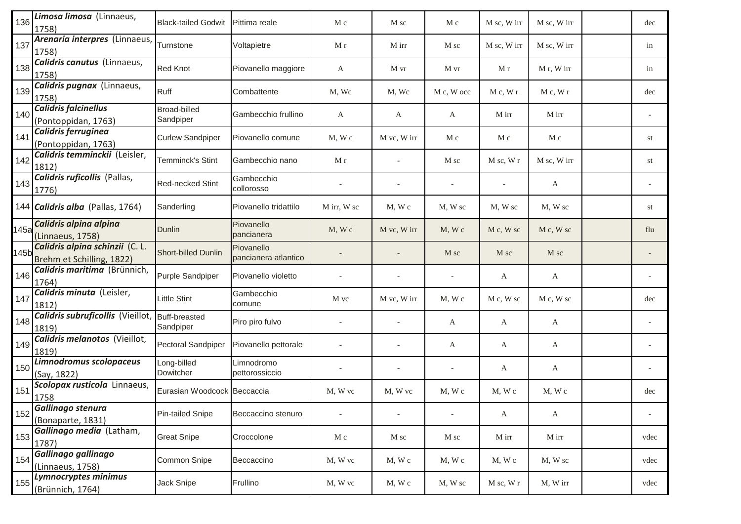| 136  | Limosa limosa (Linnaeus,<br>1758)                            | <b>Black-tailed Godwit</b>       | Pittima reale                      | M c                      | M sc                     | M c                      | M sc, W irr   | M sc, W irr  | dec                      |
|------|--------------------------------------------------------------|----------------------------------|------------------------------------|--------------------------|--------------------------|--------------------------|---------------|--------------|--------------------------|
| 137  | Arenaria interpres (Linnaeus,<br>1758)                       | Turnstone                        | Voltapietre                        | M r                      | M irr                    | M sc                     | M sc, W irr   | M sc, W irr  | in                       |
| 138  | <b>Calidris canutus</b> (Linnaeus,<br>1758)                  | Red Knot                         | Piovanello maggiore                | A                        | M vr                     | M vr                     | M r           | M r, W irr   | in                       |
| 139  | Calidris pugnax (Linnaeus,<br>1758)                          | Ruff                             | Combattente                        | M, Wc                    | M, Wc                    | M c, W occ               | M c, W r      | M c, W r     | dec                      |
| 140  | <b>Calidris falcinellus</b><br>(Pontoppidan, 1763)           | <b>Broad-billed</b><br>Sandpiper | Gambecchio frullino                | A                        | A                        | A                        | M irr         | M irr        |                          |
| 141  | Calidris ferruginea<br>(Pontoppidan, 1763)                   | <b>Curlew Sandpiper</b>          | Piovanello comune                  | $M$ , W $c$              | M vc, W irr              | M c                      | M c           | M c          | st                       |
| 142  | Calidris temminckii (Leisler,<br>1812)                       | Temminck's Stint                 | Gambecchio nano                    | M r                      |                          | M sc                     | $M$ sc, $W$ r | M sc, W irr  | st                       |
| 143  | <b>Calidris ruficollis</b> (Pallas,<br>1776)                 | Red-necked Stint                 | Gambecchio<br>collorosso           |                          |                          | $\overline{\phantom{a}}$ |               | A            |                          |
|      | 144 Calidris alba (Pallas, 1764)                             | Sanderling                       | Piovanello tridattilo              | M irr, W sc              | $M$ , W $c$              | M, W sc                  | M, W sc       | M, W sc      | st                       |
| 145a | Calidris alpina alpina<br>(Linnaeus, 1758)                   | Dunlin                           | Piovanello<br>pancianera           | $M$ , W c                | M vc, W irr              | $M$ , W $c$              | M c, W sc     | M c, W sc    | flu                      |
| 145b | Calidris alpina schinzii (C. L.<br>Brehm et Schilling, 1822) | Short-billed Dunlin              | Piovanello<br>pancianera atlantico |                          |                          | M sc                     | M sc          | M sc         |                          |
| 146  | Calidris maritima (Brünnich,<br>1764)                        | Purple Sandpiper                 | Piovanello violetto                |                          |                          |                          | A             | A            |                          |
| 147  | Calidris minuta (Leisler,<br>1812)                           | Little Stint                     | Gambecchio<br>comune               | M vc                     | M vc, W irr              | $M$ , W c                | M c, W sc     | M c, W sc    | dec                      |
| 148  | Calidris subruficollis (Vieillot,<br>1819)                   | Buff-breasted<br>Sandpiper       | Piro piro fulvo                    |                          |                          | A                        | A             | A            |                          |
| 149  | Calidris melanotos (Vieillot,<br>1819)                       | <b>Pectoral Sandpiper</b>        | Piovanello pettorale               |                          |                          | A                        | A             | A            |                          |
| 150  | Limnodromus scolopaceus<br>(Say, 1822)                       | Long-billed<br>Dowitcher         | Limnodromo<br>pettorossiccio       |                          |                          | $\overline{\phantom{a}}$ | A             | A            |                          |
| 151  | Scolopax rusticola Linnaeus,<br>1758                         | Eurasian Woodcock Beccaccia      |                                    | M, W vc                  | M, W vc                  | M, Wc                    | $M$ , W $c$   | $M$ , W $c$  | dec                      |
| 152  | Gallinago stenura<br>(Bonaparte, 1831)                       | <b>Pin-tailed Snipe</b>          | Beccaccino stenuro                 | $\overline{\phantom{a}}$ | $\overline{\phantom{a}}$ | $\overline{\phantom{a}}$ | $\mathbf{A}$  | $\mathbf{A}$ | $\overline{\phantom{a}}$ |
| 153  | Gallinago media (Latham,<br>1787)                            | <b>Great Snipe</b>               | Croccolone                         | M c                      | M sc                     | M sc                     | M irr         | M irr        | vdec                     |
| 154  | Gallinago gallinago<br>(Linnaeus, 1758)                      | Common Snipe                     | Beccaccino                         | M, W vc                  | M, Wc                    | M, Wc                    | $M$ , W $c$   | M, W sc      | vdec                     |
| 155  | Lymnocryptes minimus<br>(Brünnich, 1764)                     | Jack Snipe                       | Frullino                           | M, W vc                  | M, Wc                    | M, W sc                  | $M$ sc, $W$ r | M, W irr     | vdec                     |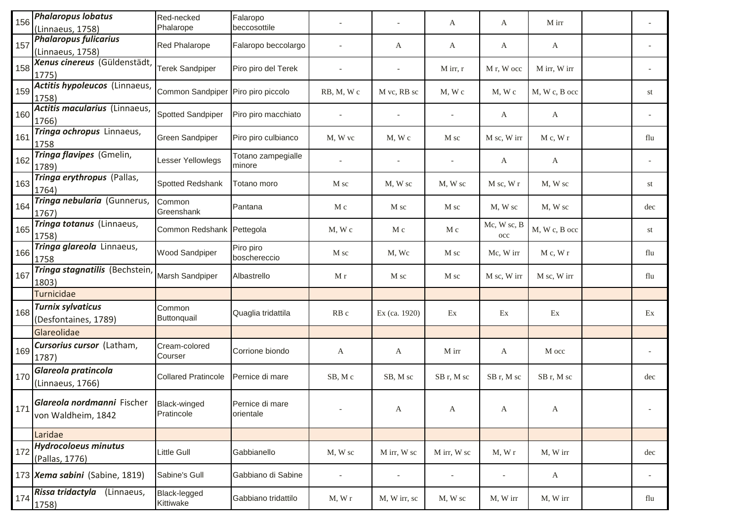| 156 | <b>Phalaropus lobatus</b><br>(Linnaeus, 1758)                   | Red-necked<br>Phalarope    | Falaropo<br>beccosottile     |                 |               | A           | A                           | M irr         |     |
|-----|-----------------------------------------------------------------|----------------------------|------------------------------|-----------------|---------------|-------------|-----------------------------|---------------|-----|
| 157 | <b>Phalaropus fulicarius</b><br>(Linnaeus, 1758)                | Red Phalarope              | Falaropo beccolargo          |                 | A             | A           | A                           | A             |     |
| 158 | Xenus cinereus (Güldenstädt,<br>1775)                           | Terek Sandpiper            | Piro piro del Terek          |                 |               | $M$ irr, r  | M r, W occ                  | M irr, W irr  |     |
| 159 | Actitis hypoleucos (Linnaeus,<br>1758)                          | Common Sandpiper           | Piro piro piccolo            | RB, M, Wc       | M vc, RB sc   | $M$ , W $c$ | M, Wc                       | M, W c, B occ | st  |
| 160 | Actitis macularius (Linnaeus,<br>1766)                          | Spotted Sandpiper          | Piro piro macchiato          |                 |               |             | A                           | $\mathbf{A}$  |     |
| 161 | Tringa ochropus Linnaeus,<br>1758                               | <b>Green Sandpiper</b>     | Piro piro culbianco          | M, W vc         | M, W c        | M sc        | M sc, W irr                 | M c, W r      | flu |
| 162 | Tringa flavipes (Gmelin,<br>1789)                               | Lesser Yellowlegs          | Totano zampegialle<br>minore |                 |               |             | A                           | $\mathbf{A}$  |     |
| 163 | Tringa erythropus (Pallas,<br>1764)                             | <b>Spotted Redshank</b>    | Totano moro                  | M sc            | M, W sc       | M, W sc     | $M$ sc, $W$ r               | M, W sc       | st  |
| 164 | Tringa nebularia (Gunnerus,<br>1767)                            | Common<br>Greenshank       | Pantana                      | M c             | M sc          | M sc        | M, W sc                     | M, W sc       | dec |
| 165 | Tringa totanus (Linnaeus,<br>1758)                              | Common Redshank Pettegola  |                              | $M$ , W $c$     | M c           | M c         | Mc, W sc, B<br>$_{\rm occ}$ | M, W c, B occ | st  |
| 166 | Tringa glareola Linnaeus,<br>1758                               | <b>Wood Sandpiper</b>      | Piro piro<br>boschereccio    | M sc            | M, Wc         | M sc        | Mc, W irr                   | M c, W r      | flu |
| 167 | Tringa stagnatilis (Bechstein,<br>1803)                         | Marsh Sandpiper            | Albastrello                  | M r             | M sc          | M sc        | M sc, W irr                 | M sc, W irr   | flu |
|     | Turnicidae                                                      |                            |                              |                 |               |             |                             |               |     |
| 168 | <b>Turnix sylvaticus</b><br>(Desfontaines, 1789)                | Common<br>Buttonquail      | Quaglia tridattila           | RB <sub>c</sub> | Ex (ca. 1920) | Ex          | Ex                          | Ex            | Ex  |
|     | Glareolidae                                                     |                            |                              |                 |               |             |                             |               |     |
| 169 | Cursorius cursor (Latham,<br>1787)                              | Cream-colored<br>Courser   | Corrione biondo              | A               | A             | M irr       | A                           | M occ         |     |
| 170 | Glareola pratincola<br>(Linnaeus, 1766)                         | <b>Collared Pratincole</b> | Pernice di mare              | SB, Mc          | SB, M sc      | SB r, M sc  | SB r, M sc                  | SB r, M sc    | dec |
| 171 | Glareola nordmanni Fischer   Black-winged<br>von Waldheim, 1842 | Pratincole                 | Pernice di mare<br>orientale |                 | A             | A           | A                           | A             |     |
|     | Laridae                                                         |                            |                              |                 |               |             |                             |               |     |
| 172 | <b>Hydrocoloeus minutus</b><br>(Pallas, 1776)                   | Little Gull                | Gabbianello                  | M, W sc         | M irr, W sc   | M irr, W sc | M, Wr                       | M, W irr      | dec |
|     | 173 Xema sabini (Sabine, 1819)                                  | Sabine's Gull              | Gabbiano di Sabine           |                 |               |             | $\overline{\phantom{a}}$    | $\mathbf{A}$  |     |
| 174 | Rissa tridactyla (Linnaeus,<br>1758)                            | Black-legged<br>Kittiwake  | Gabbiano tridattilo          | M, Wr           | M, W irr, sc  | M, W sc     | M, W irr                    | M, W irr      | flu |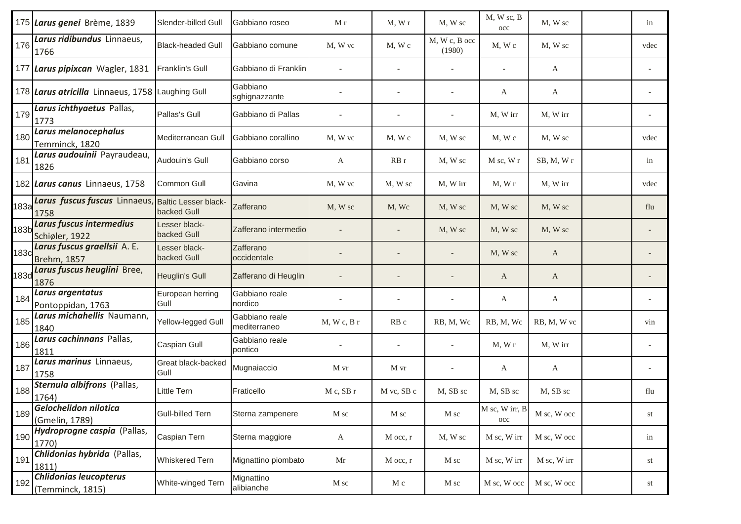|             | 175 Larus genei Brème, 1839                                | Slender-billed Gull          | Gabbiano roseo                 | M r            | M, Wr          | M, W sc                 | M, W sc, B<br>occ              | M, W sc     | in   |
|-------------|------------------------------------------------------------|------------------------------|--------------------------------|----------------|----------------|-------------------------|--------------------------------|-------------|------|
| 176         | Larus ridibundus Linnaeus,<br>1766                         | <b>Black-headed Gull</b>     | Gabbiano comune                | M. W vc        | M, W c         | M, W c, B occ<br>(1980) | $M$ , $W$ $c$                  | M, W sc     | vdec |
|             | 177 Larus pipixcan Wagler, 1831                            | <b>Franklin's Gull</b>       | Gabbiano di Franklin           |                |                |                         |                                | A           |      |
|             | 178 Larus atricilla Linnaeus, 1758 Laughing Gull           |                              | Gabbiano<br>sghignazzante      |                |                |                         | A                              | A           |      |
| 179         | Larus ichthyaetus Pallas,<br>1773                          | Pallas's Gull                | Gabbiano di Pallas             |                |                |                         | M, W irr                       | M, W irr    |      |
| 180         | Larus melanocephalus<br>Temminck, 1820                     | Mediterranean Gull           | Gabbiano corallino             | M, W vc        | $M$ , $W$ $c$  | M, W sc                 | $M$ , $W$ $c$                  | M, W sc     | vdec |
| 181         | Larus audouinii Payraudeau,<br>1826                        | Audouin's Gull               | Gabbiano corso                 | A              | RBr            | M, W sc                 | M sc, W r                      | SB, M, Wr   | in   |
|             | 182 Larus canus Linnaeus, 1758                             | <b>Common Gull</b>           | Gavina                         | M, W vc        | M, W sc        | M, W irr                | M, Wr                          | M, W irr    | vdec |
| 183a        | Larus fuscus fuscus Linnaeus, Baltic Lesser black-<br>1758 | backed Gull                  | Zafferano                      | M, W sc        | M, Wc          | M, W sc                 | M, W sc                        | M, W sc     | flu  |
| 183b        | Larus fuscus intermedius<br>Schiøler, 1922                 | _esser black-<br>backed Gull | Zafferano intermedio           |                |                | M, W sc                 | M, W sc                        | M, W sc     |      |
| 183c        | Larus fuscus graellsii A. E.<br><b>Brehm, 1857</b>         | Lesser black-<br>backed Gull | Zafferano<br>occidentale       |                |                |                         | M, W sc                        | A           |      |
| <b>183d</b> | Larus fuscus heuglini Bree,<br>1876                        | Heuglin's Gull               | Zafferano di Heuglin           |                |                |                         | A                              | A           |      |
| 184         | Larus argentatus<br>Pontoppidan, 1763                      | European herring<br>Gull     | Gabbiano reale<br>nordico      |                |                |                         | A                              | A           |      |
| 185         | Larus michahellis Naumann,<br>1840                         | Yellow-legged Gull           | Gabbiano reale<br>mediterraneo | M, Wc, Br      | RB c           | RB, M, Wc               | RB, M, Wc                      | RB, M, W vc | vin  |
| 186         | Larus cachinnans Pallas,<br>1811                           | Caspian Gull                 | Gabbiano reale<br>pontico      |                |                |                         | M, Wr                          | M, W irr    |      |
| 187         | Larus marinus Linnaeus,<br>1758                            | Great black-backed<br>Gull   | Mugnaiaccio                    | M vr           | M vr           |                         | A                              | A           |      |
| 188         | Sternula albifrons (Pallas,<br>1764)                       | Little Tern                  | Fraticello                     | $M c$ , SB r   | M vc, SB c     | M, SB sc                | M, SB sc                       | M, SB sc    | flu  |
| 189         | Gelochelidon nilotica<br>(Gmelin, 1789)                    | <b>Gull-billed Tern</b>      | Sterna zampenere               | $\mathbf M$ sc | $\mathbf M$ sc | M sc                    | M sc, W irr, B<br>$_{\rm occ}$ | M sc, W occ | st   |
| 190         | Hydroprogne caspia (Pallas,<br>1770)                       | Caspian Tern                 | Sterna maggiore                | $\mathbf{A}$   | M occ, r       | M, W sc                 | M sc, W irr                    | M sc, W occ | in   |
| 191         | Chlidonias hybrida (Pallas,<br>1811)                       | Whiskered Tern               | Mignattino piombato            | Mr             | M occ, r       | M sc                    | M sc, W irr                    | M sc, W irr | st   |
| 192         | <b>Chlidonias leucopterus</b><br>(Temminck, 1815)          | White-winged Tern            | Mignattino<br>alibianche       | M sc           | M c            | M sc                    | M sc, W occ                    | M sc, W occ | st   |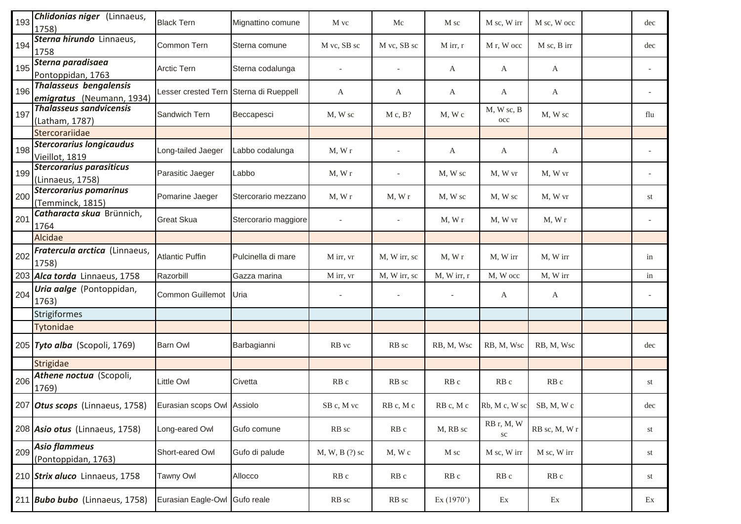| 193 | Chlidonias niger (Linnaeus,<br>1758)                       | <b>Black Tern</b>                      | Mignattino comune    | M vc             | Mc              | M sc               | M sc, W irr             | M sc, W occ     | dec |
|-----|------------------------------------------------------------|----------------------------------------|----------------------|------------------|-----------------|--------------------|-------------------------|-----------------|-----|
| 194 | Sterna hirundo Linnaeus,<br>1758                           | Common Tern                            | Sterna comune        | M vc, SB sc      | M vc, SB sc     | $M$ irr, r         | M r, W occ              | M sc, B irr     | dec |
| 195 | Sterna paradisaea<br>Pontoppidan, 1763                     | Arctic Tern                            | Sterna codalunga     |                  | $\sim$          | A                  | A                       | A               |     |
| 196 | <b>Thalasseus bengalensis</b><br>emigratus (Neumann, 1934) | Lesser crested Tern Sterna di Rueppell |                      | А                | A               | A                  | A                       | A               |     |
| 197 | <b>Thalasseus sandvicensis</b><br>(Latham, 1787)           | Sandwich Tern                          | Beccapesci           | M, W sc          | M c, B?         | M, Wc              | M, W sc, B<br>occ       | M, W sc         | flu |
|     | Stercorariidae                                             |                                        |                      |                  |                 |                    |                         |                 |     |
| 198 | <b>Stercorarius longicaudus</b><br>Vieillot, 1819          | Long-tailed Jaeger                     | Labbo codalunga      | M, Wr            |                 | A                  | A                       | A               |     |
| 199 | <b>Stercorarius parasiticus</b><br>(Linnaeus, 1758)        | Parasitic Jaeger                       | Labbo                | M, Wr            | $\bar{a}$       | M, W sc            | M, W vr                 | M, W vr         |     |
| 200 | <b>Stercorarius pomarinus</b><br>(Temminck, 1815)          | Pomarine Jaeger                        | Stercorario mezzano  | M, Wr            | M, Wr           | M, W sc            | M, W sc                 | M, W vr         | st  |
| 201 | Catharacta skua Brünnich,<br>1764                          | <b>Great Skua</b>                      | Stercorario maggiore |                  |                 | M, Wr              | M, W vr                 | M, Wr           |     |
|     | Alcidae                                                    |                                        |                      |                  |                 |                    |                         |                 |     |
| 202 | Fratercula arctica (Linnaeus,<br>1758)                     | <b>Atlantic Puffin</b>                 | Pulcinella di mare   | M irr, vr        | M, W irr, sc    | M, Wr              | M, W irr                | M, W irr        | in  |
|     | 203 Alca torda Linnaeus, 1758                              | Razorbill                              | Gazza marina         | M irr, vr        | M, W irr, sc    | $M$ , W irr, r     | M, W occ                | M, W irr        | in  |
| 204 | Uria aalge (Pontoppidan,<br>1763)                          | Common Guillemot                       | Uria                 |                  |                 |                    | A                       | $\mathbf{A}$    |     |
|     | Strigiformes                                               |                                        |                      |                  |                 |                    |                         |                 |     |
|     | Tytonidae                                                  |                                        |                      |                  |                 |                    |                         |                 |     |
|     | 205 Tyto alba (Scopoli, 1769)                              | <b>Barn Owl</b>                        | Barbagianni          | RB vc            | RB sc           | RB, M, Wsc         | RB, M, Wsc              | RB, M, Wsc      | dec |
|     | Strigidae                                                  |                                        |                      |                  |                 |                    |                         |                 |     |
| 206 | Athene noctua (Scopoli,<br>1769)                           | Little Owl                             | Civetta              | RB c             | RB sc           | RB c               | RB <sub>c</sub>         | RB <sub>c</sub> | st  |
|     | 207 Otus scops (Linnaeus, 1758) Eurasian scops Owl Assiolo |                                        |                      | SB c, M vc       | RB c, M c       | $RB$ c, M $\it{c}$ | Rb, M c, W sc           | SB, M, Wc       | dec |
|     | 208 Asio otus (Linnaeus, 1758)                             | Long-eared Owl                         | Gufo comune          | RB sc            | RB <sub>c</sub> | M, RB sc           | RB r, M, W<br>$\rm{sc}$ | RB sc, M, W r   | st  |
| 209 | <b>Asio flammeus</b><br>(Pontoppidan, 1763)                | Short-eared Owl                        | Gufo di palude       | $M, W, B$ (?) sc | M, W c          | M sc               | M sc, W irr             | M sc, W irr     | st  |
|     | 210 Strix aluco Linnaeus, 1758                             | <b>Tawny Owl</b>                       | Allocco              | RB <sub>c</sub>  | RB c            | RB c               | RB c                    | RB c            | st  |
|     | 211 Bubo bubo (Linnaeus, 1758)                             | Eurasian Eagle-Owl Gufo reale          |                      | RB sc            | RB sc           | Ex (1970')         | Ex                      | Ex              | Ex  |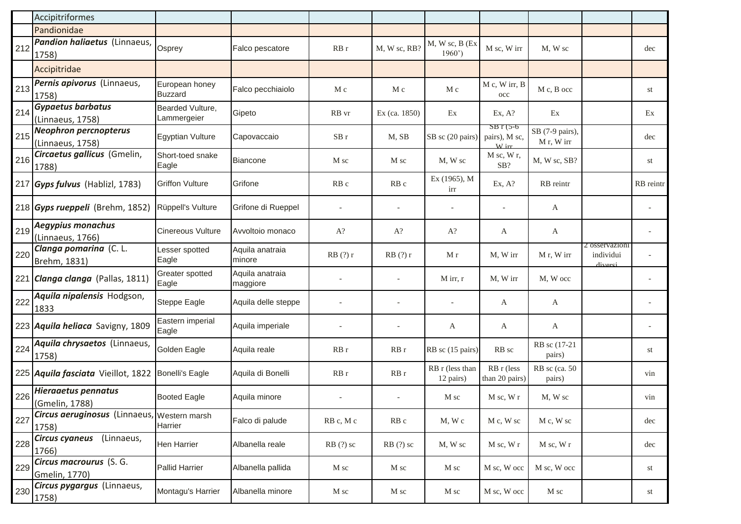|     | Accipitriformes                                      |                                  |                             |            |                 |                              |                                      |                               |                                        |           |
|-----|------------------------------------------------------|----------------------------------|-----------------------------|------------|-----------------|------------------------------|--------------------------------------|-------------------------------|----------------------------------------|-----------|
|     | Pandionidae                                          |                                  |                             |            |                 |                              |                                      |                               |                                        |           |
| 212 | Pandion haliaetus (Linnaeus,<br>1758)                | Osprey                           | Falco pescatore             | RBr        | M, W sc, RB?    | $M, W$ sc, $B$ (Ex<br>1960'  | M sc, W irr                          | M, W sc                       |                                        | dec       |
|     | Accipitridae                                         |                                  |                             |            |                 |                              |                                      |                               |                                        |           |
| 213 | Pernis apivorus (Linnaeus,<br>1758)                  | European honey<br><b>Buzzard</b> | Falco pecchiaiolo           | M c        | M c             | M c                          | M c, W irr, B<br>occ                 | M c, B occ                    |                                        | st        |
| 214 | <b>Gypaetus barbatus</b><br>(Linnaeus, 1758)         | Bearded Vulture,<br>Lammergeier  | Gipeto                      | RB vr      | Ex (ca. 1850)   | Ex                           | Ex, A?                               | Ex                            |                                        | Ex        |
| 215 | <b>Neophron percnopterus</b><br>(Linnaeus, 1758)     | <b>Egyptian Vulture</b>          | Capovaccaio                 | SBr        | M, SB           | SB sc (20 pairs)             | $SBT(5-6)$<br>pairs), M sc,<br>W irr | SB (7-9 pairs),<br>M r, W irr |                                        | dec       |
| 216 | Circaetus gallicus (Gmelin,<br>1788)                 | Short-toed snake<br>Eagle        | <b>Biancone</b>             | M sc       | M sc            | M, W sc                      | M sc, W r,<br>SB?                    | M, W sc, SB?                  |                                        | st        |
|     | 217 Gyps fulvus (Hablizl, 1783)                      | <b>Griffon Vulture</b>           | Grifone                     | RB c       | RB <sub>c</sub> | Ex (1965), M<br>irr          | Ex, A?                               | RB reintr                     |                                        | RB reintr |
|     | 218 Gyps rueppeli (Brehm, 1852)                      | Rüppell's Vulture                | Grifone di Rueppel          |            |                 |                              |                                      | A                             |                                        |           |
| 219 | Aegypius monachus<br>(Linnaeus, 1766)                | <b>Cinereous Vulture</b>         | Avvoltoio monaco            | $A$ ?      | $A$ ?           | $A$ ?                        | A                                    | A                             |                                        |           |
| 220 | Clanga pomarina (C. L.<br>Brehm, 1831)               | Lesser spotted<br>Eagle          | Aquila anatraia<br>minore   | RB(?)r     | RB(?)r          | M r                          | M, W irr                             | M r, W irr                    | 2 osservazioni<br>individui<br>diversi |           |
|     | 221 Clanga clanga (Pallas, 1811)                     | Greater spotted<br>Eagle         | Aquila anatraia<br>maggiore |            |                 | $M$ irr, r                   | M, W irr                             | M, W occ                      |                                        |           |
| 222 | Aquila nipalensis Hodgson,<br>1833                   | Steppe Eagle                     | Aquila delle steppe         |            |                 |                              | A                                    | A                             |                                        |           |
|     | 223 Aquila heliaca Savigny, 1809                     | Eastern imperial<br>Eagle        | Aquila imperiale            |            |                 | A                            | A                                    | A                             |                                        |           |
| 224 | Aquila chrysaetos (Linnaeus,<br>1758)                | Golden Eagle                     | Aquila reale                | RBr        | RB r            | RB sc (15 pairs)             | RB sc                                | RB sc (17-21<br>pairs)        |                                        | st        |
|     | 225 Aquila fasciata Vieillot, 1822 Bonelli's Eagle   |                                  | Aquila di Bonelli           | RBr        | RBr             | RB r (less than<br>12 pairs) | RB r (less<br>than 20 pairs)         | RB sc (ca. 50<br>pairs)       |                                        | vin       |
| 226 | <b>Hieraaetus pennatus</b><br>(Gmelin, 1788)         | <b>Booted Eagle</b>              | Aquila minore               |            |                 | M sc                         | M sc, W r                            | M, W sc                       |                                        | vin       |
| 227 | Circus aeruginosus (Linnaeus, Western marsh<br>1758) | Harrier                          | Falco di palude             | RB c, M c  | RB c            | M, Wc                        | M c, W sc                            | M c, W sc                     |                                        | dec       |
| 228 | (Linnaeus,<br><b>Circus cyaneus</b><br>1766)         | Hen Harrier                      | Albanella reale             | $RB(?)$ sc | $RB(?)$ sc      | M, W sc                      | M sc, W r                            | M sc, W r                     |                                        | dec       |
| 229 | Circus macrourus (S. G.<br>Gmelin, 1770)             | <b>Pallid Harrier</b>            | Albanella pallida           | M sc       | M sc            | M sc                         | M sc, W occ                          | M sc, W occ                   |                                        | st        |
| 230 | Circus pygargus (Linnaeus,<br>1758)                  | Montagu's Harrier                | Albanella minore            | M sc       | M sc            | M sc                         | M sc, W occ                          | M sc                          |                                        | st        |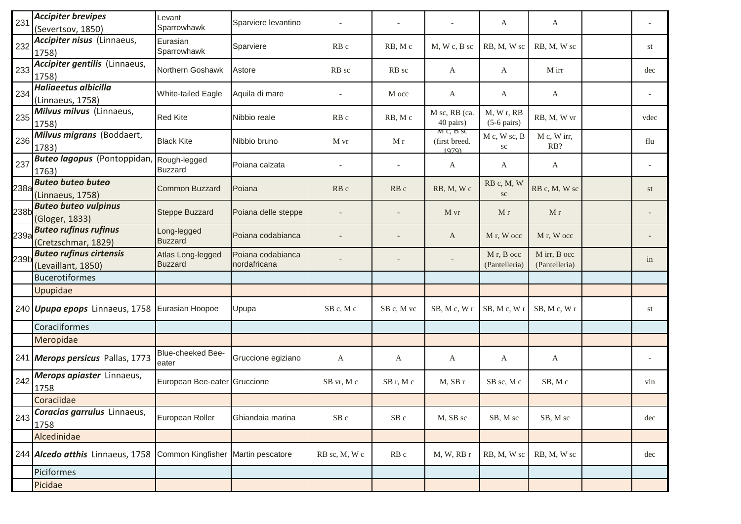| 231  | <b>Accipiter brevipes</b><br>(Severtsov, 1850)           | Levant<br>Sparrowhawk               | Sparviere levantino               |                 |                 |                                    | A                                       | A                             |      |
|------|----------------------------------------------------------|-------------------------------------|-----------------------------------|-----------------|-----------------|------------------------------------|-----------------------------------------|-------------------------------|------|
| 232  | Accipiter nisus (Linnaeus,<br>1758)                      | Eurasian<br>Sparrowhawk             | Sparviere                         | RB <sub>c</sub> | RB, Mc          | $M$ , W c, B sc                    | RB, M, W sc                             | RB, M, W sc                   | st   |
| 233  | Accipiter gentilis (Linnaeus,<br>1758)                   | Northern Goshawk                    | Astore                            | RB sc           | RB sc           | A                                  | A                                       | M irr                         | dec  |
| 234  | Haliaeetus albicilla<br>(Linnaeus, 1758)                 | White-tailed Eagle                  | Aquila di mare                    |                 | M occ           | A                                  | A                                       | A                             |      |
| 235  | Milvus milvus (Linnaeus,<br>1758)                        | <b>Red Kite</b>                     | Nibbio reale                      | RB c            | RB, Mc          | M sc, RB (ca.<br>40 pairs)         | M, Wr, RB<br>$(5-6 \text{ pairs})$      | RB, M, W vr                   | vdec |
| 236  | Milvus migrans (Boddaert,<br>1783)                       | <b>Black Kite</b>                   | Nibbio bruno                      | M vr            | M r             | M c, B sc<br>(first breed.<br>1979 | M c, W sc, B<br>sc                      | M c, W irr,<br>RB?            | flu  |
| 237  | <b>Buteo lagopus</b> (Pontoppidan, Rough-legged<br>1763) | <b>Buzzard</b>                      | Poiana calzata                    | $\overline{a}$  |                 | A                                  | A                                       | A                             |      |
| 238a | <b>Buteo buteo buteo</b><br>(Linnaeus, 1758)             | <b>Common Buzzard</b>               | Poiana                            | RB c            | RB <sub>c</sub> | RB, M, Wc                          | RB c, M, W<br><b>SC</b>                 | RB c, M, W sc                 | st   |
| 238b | <b>Buteo buteo vulpinus</b><br>(Gloger, 1833)            | <b>Steppe Buzzard</b>               | Poiana delle steppe               |                 |                 | M vr                               | M r                                     | M r                           |      |
| 239a | <b>Buteo rufinus rufinus</b><br>(Cretzschmar, 1829)      | Long-legged<br><b>Buzzard</b>       | Poiana codabianca                 |                 |                 | A                                  | M r, W occ                              | M r, W occ                    |      |
| 239b | <b>Buteo rufinus cirtensis</b><br>(Levaillant, 1850)     | Atlas Long-legged<br><b>Buzzard</b> | Poiana codabianca<br>nordafricana |                 |                 |                                    | M <sub>r</sub> , B occ<br>(Pantelleria) | M irr, B occ<br>(Pantelleria) | in   |
|      | <b>Bucerotiformes</b>                                    |                                     |                                   |                 |                 |                                    |                                         |                               |      |
|      | Upupidae                                                 |                                     |                                   |                 |                 |                                    |                                         |                               |      |
|      | 240 <i>Upupa epops</i> Linnaeus, 1758 Eurasian Hoopoe    |                                     | Upupa                             | SB c, M c       | SB c, M vc      | SB, M c, W r                       | SB, Mc, Wr                              | SB, Mc, Wr                    | st   |
|      | Coraciiformes                                            |                                     |                                   |                 |                 |                                    |                                         |                               |      |
|      | Meropidae                                                |                                     |                                   |                 |                 |                                    |                                         |                               |      |
|      | 241 Merops persicus Pallas, 1773                         | Blue-cheeked Bee-<br>eater          | Gruccione egiziano                | A               | A               | A                                  | A                                       | A                             |      |
| 242  | Merops apiaster Linnaeus,<br>1758                        | European Bee-eater Gruccione        |                                   | SB vr, M c      | SB r, M c       | M, SBr                             | SB sc, M c                              | SB, Mc                        | vin  |
|      | Coraciidae                                               |                                     |                                   |                 |                 |                                    |                                         |                               |      |
| 243  | Coracias garrulus Linnaeus,<br>1758                      | European Roller                     | Ghiandaia marina                  | SB c            | $SB$ c          | M, SB sc                           | SB, M sc                                | SB, M sc                      | dec  |
|      | Alcedinidae                                              |                                     |                                   |                 |                 |                                    |                                         |                               |      |
|      | 244 Alcedo atthis Linnaeus, 1758                         | Common Kingfisher Martin pescatore  |                                   | RB sc, M, W c   | RB <sub>c</sub> | M, W, RB r                         | RB, M, W sc                             | RB, M, W sc                   | dec  |
|      | Piciformes                                               |                                     |                                   |                 |                 |                                    |                                         |                               |      |
|      | Picidae                                                  |                                     |                                   |                 |                 |                                    |                                         |                               |      |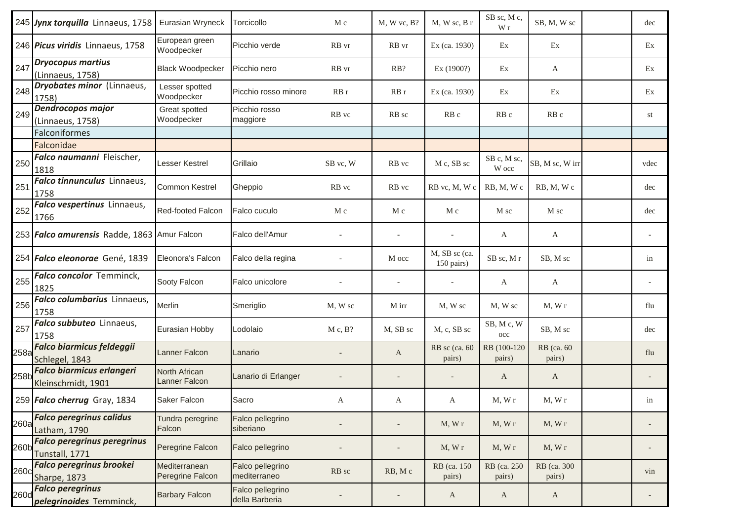|      | 245 Jynx torquilla Linnaeus, 1758   Eurasian Wryneck   |                                   | Torcicollo                         | M c      | $M, W$ vc, $B$ ? | M, W sc, B r                | SB sc, M c,<br>W r        | SB, M, W sc            | dec  |
|------|--------------------------------------------------------|-----------------------------------|------------------------------------|----------|------------------|-----------------------------|---------------------------|------------------------|------|
|      | 246 Picus viridis Linnaeus, 1758                       | European green<br>Woodpecker      | Picchio verde                      | RB vr    | RB vr            | Ex (ca. 1930)               | Ex                        | Ex                     | Ex   |
| 247  | <b>Dryocopus martius</b><br>(Linnaeus, 1758)           | <b>Black Woodpecker</b>           | Picchio nero                       | RB vr    | RB?              | Ex (1900?)                  | Ex                        | A                      | Ex   |
| 248  | <b>Dryobates minor</b> (Linnaeus,<br>1758)             | Lesser spotted<br>Woodpecker      | Picchio rosso minore               | RBr      | RBr              | Ex (ca. 1930)               | Ex                        | Ex                     | Ex   |
| 249  | Dendrocopos major<br>(Linnaeus, 1758)                  | Great spotted<br>Woodpecker       | Picchio rosso<br>maggiore          | RB vc    | RB sc            | RB <sub>c</sub>             | RB <sub>c</sub>           | RB c                   | st   |
|      | Falconiformes                                          |                                   |                                    |          |                  |                             |                           |                        |      |
|      | Falconidae                                             |                                   |                                    |          |                  |                             |                           |                        |      |
| 250  | Falco naumanni Fleischer,<br>1818                      | Lesser Kestrel                    | Grillaio                           | SB vc, W | RB vc            | M c, SB sc                  | SB c, M sc,<br>W occ      | SB, M sc, W irr        | vdec |
| 251  | Falco tinnunculus Linnaeus,<br>1758                    | <b>Common Kestrel</b>             | Gheppio                            | RB vc    | RB vc            | RB vc, M, W c               | RB, M, Wc                 | RB, M, Wc              | dec  |
| 252  | Falco vespertinus Linnaeus,<br>1766                    | Red-footed Falcon                 | Falco cuculo                       | M c      | M c              | M c                         | M sc                      | M sc                   | dec  |
|      | 253 Falco amurensis Radde, 1863 Amur Falcon            |                                   | Falco dell'Amur                    |          |                  |                             | A                         | A                      |      |
|      | 254 Falco eleonorae Gené, 1839                         | Eleonora's Falcon                 | Falco della regina                 |          | M occ            | M, SB sc (ca.<br>150 pairs) | SB sc, M r                | SB, M sc               | in   |
| 255  | Falco concolor Temminck,<br>1825                       | Sooty Falcon                      | Falco unicolore                    |          |                  |                             | A                         | A                      |      |
| 256  | Falco columbarius Linnaeus,<br>1758                    | Merlin                            | Smeriglio                          | M, W sc  | M irr            | M, W sc                     | M, W sc                   | M, Wr                  | flu  |
| 257  | Falco subbuteo Linnaeus,<br>1758                       | Eurasian Hobby                    | Lodolaio                           | M c, B?  | M, SB sc         | M, c, SB sc                 | SB, Mc, W<br>$_{\rm occ}$ | SB, M sc               | dec  |
| 258a | <b>Falco biarmicus feldeggii</b><br>Schlegel, 1843     | Lanner Falcon                     | Lanario                            |          | A                | RB sc (ca. 60<br>pairs)     | RB (100-120)<br>pairs)    | RB (ca. 60)<br>pairs)  | flu  |
| 258b | <b>Falco biarmicus erlangeri</b><br>Kleinschmidt, 1901 | North African<br>Lanner Falcon    | Lanario di Erlanger                |          |                  |                             | A                         | A                      |      |
|      | 259 Falco cherrug Gray, 1834                           | Saker Falcon                      | Sacro                              | A        | A                | A                           | M, Wr                     | M, Wr                  | in   |
| 260a | <b>Falco peregrinus calidus</b><br>Latham, 1790        | Tundra peregrine<br>Falcon        | Falco pellegrino<br>siberiano      |          |                  | M, Wr                       | M, Wr                     | M, Wr                  |      |
| 260b | <b>Falco peregrinus peregrinus</b><br>Tunstall, 1771   | Peregrine Falcon                  | Falco pellegrino                   |          |                  | M, Wr                       | M, Wr                     | M, Wr                  |      |
| 260c | <b>Falco peregrinus brookei</b><br>Sharpe, 1873        | Mediterranean<br>Peregrine Falcon | Falco pellegrino<br>mediterraneo   | RB sc    | RB, Mc           | RB (ca. 150)<br>pairs)      | RB (ca. 250<br>pairs)     | RB (ca. 300)<br>pairs) | vin  |
| 260d | <b>Falco peregrinus</b><br>pelegrinoides Temminck,     | <b>Barbary Falcon</b>             | Falco pellegrino<br>della Barberia |          |                  | A                           | A                         | $\mathbf{A}$           |      |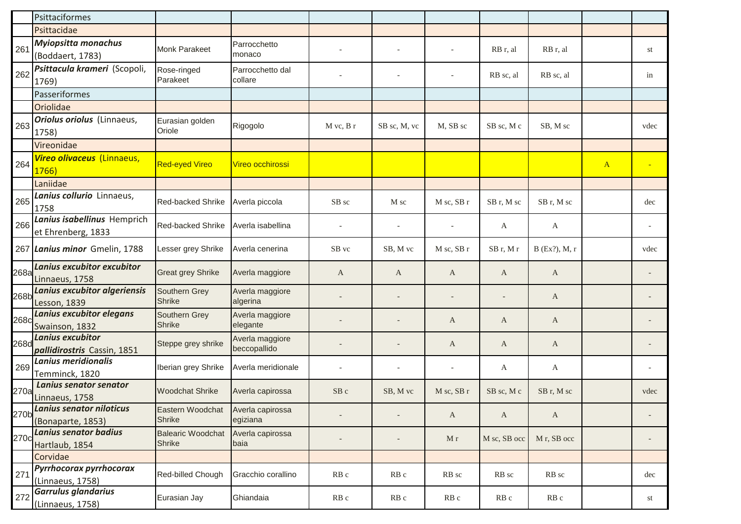|      | Psittaciformes                                         |                                           |                                 |                 |                 |                          |              |                         |              |                |
|------|--------------------------------------------------------|-------------------------------------------|---------------------------------|-----------------|-----------------|--------------------------|--------------|-------------------------|--------------|----------------|
|      | Psittacidae                                            |                                           |                                 |                 |                 |                          |              |                         |              |                |
| 261  | <b>Myiopsitta monachus</b><br>(Boddaert, 1783)         | <b>Monk Parakeet</b>                      | Parrocchetto<br>monaco          |                 |                 |                          | RB r, al     | RB r, al                |              | st             |
| 262  | Psittacula krameri (Scopoli,<br>1769)                  | Rose-ringed<br>Parakeet                   | Parrocchetto dal<br>collare     |                 |                 | $\overline{a}$           | RB sc, al    | RB sc, al               |              | in             |
|      | Passeriformes                                          |                                           |                                 |                 |                 |                          |              |                         |              |                |
|      | Oriolidae                                              |                                           |                                 |                 |                 |                          |              |                         |              |                |
| 263  | <b>Oriolus oriolus</b> (Linnaeus,<br>1758)             | Eurasian golden<br>Oriole                 | Rigogolo                        | $M$ vc, $B$ r   | SB sc, M, vc    | M, SB sc                 | SB sc, M c   | SB, M sc                |              | vdec           |
|      | Vireonidae                                             |                                           |                                 |                 |                 |                          |              |                         |              |                |
| 264  | Vireo olivaceus (Linnaeus,<br>1766)                    | <b>Red-eyed Vireo</b>                     | Vireo occhirossi                |                 |                 |                          |              |                         | $\mathbf{A}$ | $\blacksquare$ |
|      | Laniidae                                               |                                           |                                 |                 |                 |                          |              |                         |              |                |
| 265  | Lanius collurio Linnaeus,<br>1758                      | <b>Red-backed Shrike</b>                  | Averla piccola                  | SB sc           | M sc            | M sc, SB r               | SB r, M sc   | SB r, M sc              |              | dec            |
| 266  | Lanius isabellinus Hemprich<br>et Ehrenberg, 1833      | Red-backed Shrike                         | Averla isabellina               |                 |                 |                          | A            | A                       |              |                |
| 267  | Lanius minor Gmelin, 1788                              | Lesser grey Shrike                        | Averla cenerina                 | SB vc           | SB, M vc        | M sc, SB r               | SBr, Mr      | B (Ex?), M, r           |              | vdec           |
| 268a | Lanius excubitor excubitor<br>Linnaeus, 1758           | <b>Great grey Shrike</b>                  | Averla maggiore                 | $\mathbf{A}$    | A               | A                        | A            | $\mathbf{A}$            |              |                |
| 268b | Lanius excubitor algeriensis<br><b>Lesson, 1839</b>    | Southern Grey<br><b>Shrike</b>            | Averla maggiore<br>algerina     |                 |                 | $\overline{\phantom{a}}$ |              | A                       |              |                |
| 268c | Lanius excubitor elegans<br>Swainson, 1832             | Southern Grey<br><b>Shrike</b>            | Averla maggiore<br>elegante     |                 |                 | A                        | A            | A                       |              |                |
| 268d | <b>Lanius excubitor</b><br>pallidirostris Cassin, 1851 | Steppe grey shrike                        | Averla maggiore<br>beccopallido |                 |                 | A                        | A            | A                       |              |                |
| 269  | <b>Lanius meridionalis</b><br>Temminck, 1820           | Iberian grey Shrike                       | Averla meridionale              |                 |                 |                          | A            | A                       |              |                |
| 270a | Lanius senator senator<br>Linnaeus, 1758               | <b>Woodchat Shrike</b>                    | Averla capirossa                | SB c            | SB, M vc        | M sc, SB r               | SB sc, M c   | SB r, M sc              |              | vdec           |
| 270b | Lanius senator niloticus<br>(Bonaparte, 1853)          | Eastern Woodchat<br><b>Shrike</b>         | Averla capirossa<br>egiziana    |                 |                 | A                        | A            | $\mathbf A$             |              |                |
| 270c | <b>Lanius senator badius</b><br>Hartlaub, 1854         | <b>Balearic Woodchat</b><br><b>Shrike</b> | Averla capirossa<br>baia        |                 |                 | M r                      | M sc, SB occ | M <sub>r</sub> , SB occ |              |                |
|      | Corvidae                                               |                                           |                                 |                 |                 |                          |              |                         |              |                |
| 271  | Pyrrhocorax pyrrhocorax<br>(Linnaeus, 1758)            | Red-billed Chough                         | Gracchio corallino              | RB <sub>c</sub> | RB <sub>c</sub> | RB sc                    | RB sc        | RB sc                   |              | dec            |
| 272  | <b>Garrulus glandarius</b><br>(Linnaeus, 1758)         | Eurasian Jay                              | Ghiandaia                       | RB <sub>c</sub> | RB c            | RB c                     | RB c         | RB c                    |              | st             |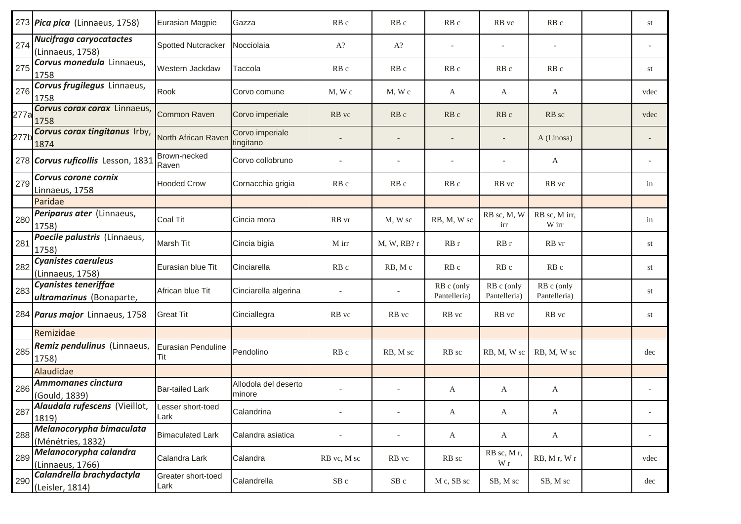|      | 273 Pica pica (Linnaeus, 1758)                           | Eurasian Magpie            | Gazza                          | RB <sub>c</sub> | RB <sub>c</sub>          | RB c                       | RB vc                      | RB c                       | st   |
|------|----------------------------------------------------------|----------------------------|--------------------------------|-----------------|--------------------------|----------------------------|----------------------------|----------------------------|------|
| 274  | Nucifraga caryocatactes<br>(Linnaeus, 1758)              | <b>Spotted Nutcracker</b>  | Nocciolaia                     | $A$ ?           | $A$ ?                    |                            |                            |                            |      |
| 275  | Corvus monedula Linnaeus,<br>1758                        | Western Jackdaw            | Taccola                        | RB c            | RB c                     | RB c                       | RB <sub>c</sub>            | RB c                       | st   |
| 276  | Corvus frugilegus Linnaeus,<br>1758                      | Rook                       | Corvo comune                   | $M$ , W $c$     | M, Wc                    | A                          | A                          | A                          | vdec |
| 277a | Corvus corax corax Linnaeus,<br>1758                     | Common Raven               | Corvo imperiale                | RB vc           | RB <sub>c</sub>          | RB <sub>c</sub>            | RB c                       | RB sc                      | vdec |
| 277b | Corvus corax tingitanus Irby,<br>1874                    | North African Raven        | Corvo imperiale<br>tingitano   |                 |                          |                            |                            | A (Linosa)                 |      |
|      | 278 Corvus ruficollis Lesson, 1831                       | Brown-necked<br>Raven      | Corvo collobruno               |                 |                          |                            |                            | A                          |      |
| 279  | Corvus corone cornix<br>Linnaeus, 1758                   | <b>Hooded Crow</b>         | Cornacchia grigia              | RB <sub>c</sub> | RB c                     | RB <sub>c</sub>            | RB vc                      | RB vc                      | in   |
|      | Paridae                                                  |                            |                                |                 |                          |                            |                            |                            |      |
| 280  | Periparus ater (Linnaeus,<br>1758)                       | Coal Tit                   | Cincia mora                    | RB vr           | M, W sc                  | RB, M, W sc                | RB sc, M, W<br>irr         | RB sc, M irr,<br>W irr     | in   |
| 281  | Poecile palustris (Linnaeus,<br>1758)                    | Marsh Tit                  | Cincia bigia                   | M irr           | M, W, RB?r               | RBr                        | RB r                       | RB vr                      | st   |
| 282  | <b>Cyanistes caeruleus</b><br>(Linnaeus, 1758)           | Eurasian blue Tit          | Cinciarella                    | RB c            | RB, Mc                   | RB c                       | RB c                       | RB <sub>c</sub>            | st   |
| 283  | Cyanistes teneriffae<br>ultramarinus (Bonaparte,         | African blue Tit           | Cinciarella algerina           |                 |                          | RB c (only<br>Pantelleria) | RB c (only<br>Pantelleria) | RB c (only<br>Pantelleria) | st   |
|      | 284 <i>Parus major</i> Linnaeus, 1758                    | <b>Great Tit</b>           | Cinciallegra                   | RB vc           | RB vc                    | RB vc                      | RB vc                      | RB vc                      | st   |
|      | Remizidae                                                |                            |                                |                 |                          |                            |                            |                            |      |
| 285  | Remiz pendulinus (Linnaeus,<br>1758)                     | Eurasian Penduline<br>Tit  | Pendolino                      | RB c            | RB, M sc                 | RB sc                      | RB, M, W sc                | RB, M, W sc                | dec  |
|      | Alaudidae                                                |                            |                                |                 |                          |                            |                            |                            |      |
| 286  | Ammomanes cinctura<br>(Gould, 1839)                      | <b>Bar-tailed Lark</b>     | Allodola del deserto<br>minore |                 |                          | A                          | A                          | $\mathbf{A}$               |      |
| 287  | Alaudala rufescens (Vieillot, Lesser short-toed<br>1819) | Lark                       | Calandrina                     |                 | $\overline{\phantom{0}}$ | $\mathbf{A}$               | A                          | $\mathbf{A}$               |      |
| 288  | Melanocorypha bimaculata<br>(Ménétries, 1832)            | <b>Bimaculated Lark</b>    | Calandra asiatica              |                 |                          | A                          | A                          | $\mathbf{A}$               |      |
| 289  | Melanocorypha calandra<br>(Linnaeus, 1766)               | Calandra Lark              | Calandra                       | RB vc, M sc     | RB vc                    | RB sc                      | RB sc, Mr,<br>W r          | RB, Mr, Wr                 | vdec |
| 290  | Calandrella brachydactyla<br>(Leisler, 1814)             | Greater short-toed<br>Lark | Calandrella                    | $SB$ c          | SB c                     | M c, SB sc                 | SB, M sc                   | SB, M sc                   | dec  |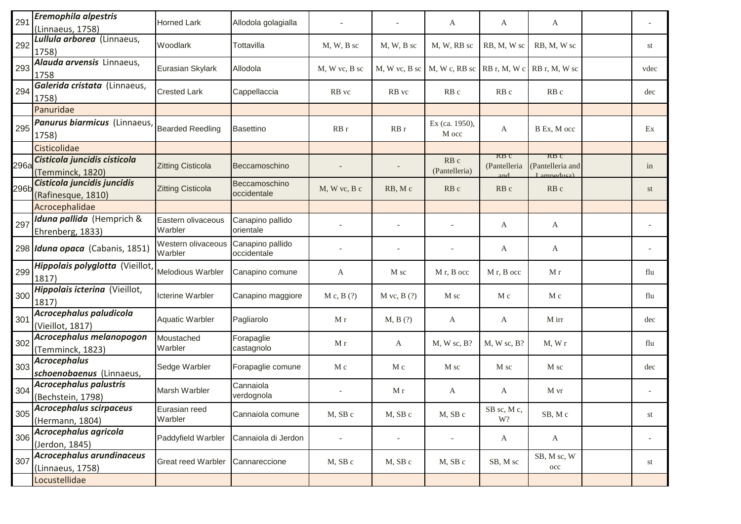| Lullula arborea (Linnaeus,<br>292<br>Woodlark<br>Tottavilla<br>$M, W, B$ sc<br>$M, W, B$ sc<br>M, W, RB sc<br>RB, M, W sc<br>RB, M, W sc<br>1758)<br>Alauda arvensis Linnaeus,<br>293<br>Eurasian Skylark<br>Allodola<br>M, W vc, B sc   M, W c, RB sc   RB r, M, W c   RB r, M, W sc<br>M, W vc, B sc<br>1758<br>Galerida cristata (Linnaeus,<br>294<br><b>Crested Lark</b><br>Cappellaccia<br>RB vc<br>RB vc<br>RB <sub>c</sub><br>RB <sub>c</sub><br>RB <sub>c</sub><br>1758)<br>Panuridae<br>Panurus biarmicus (Linnaeus,<br>Ex (ca. 1950),<br>295<br><b>Bearded Reedling</b><br>RB r<br>RBr<br><b>Basettino</b><br>B Ex, M occ<br>A<br>M occ<br>1758)<br>Cisticolidae<br>KB C<br>KB C<br>Cisticola juncidis cisticola<br>RB <sub>c</sub><br><b>Zitting Cisticola</b><br>(Pantelleria and<br>(Pantelleria<br>Beccamoschino<br>(Pantelleria)<br>(Temminck, 1820)<br>Lampedusa<br>Cisticola juncidis juncidis<br>Beccamoschino<br>296b<br><b>Zitting Cisticola</b><br>RB <sub>c</sub><br>$M$ , W vc, B c<br>RB, Mc<br>RB <sub>c</sub><br>RB <sub>c</sub><br>occidentale<br>(Rafinesque, 1810)<br>Acrocephalidae<br>Iduna pallida (Hemprich &<br>Eastern olivaceous<br>Canapino pallido<br>297<br>A<br>A<br>Warbler<br>orientale<br>Ehrenberg, 1833)<br>Western olivaceous<br>Canapino pallido<br>298 Iduna opaca (Cabanis, 1851)<br>A<br>A<br>occidentale<br>Warbler<br>Hippolais polyglotta (Vieillot,<br>299<br>Melodious Warbler<br>Canapino comune<br>M r, B occ<br>M r, B occ<br>M r<br>A<br>M sc<br>1817)<br>Hippolais icterina (Vieillot,<br>300<br><b>Icterine Warbler</b><br>Canapino maggiore<br>M c, B(?)<br>$M$ vc, $B(?)$<br>M sc<br>M c<br>M c<br>1817)<br>Acrocephalus paludicola<br>301<br><b>Aquatic Warbler</b><br>Pagliarolo<br>M r<br>M, B(?)<br>M irr<br>A<br>A<br>(Vieillot, 1817)<br>Acrocephalus melanopogon<br>Moustached<br>Forapaglie<br>302<br>M r<br>M, W sc, B?<br>M, W sc, B?<br>M, Wr<br>A<br>Warbler<br>castagnolo<br>(Temminck, 1823)<br><b>Acrocephalus</b><br>303<br>Sedge Warbler<br>Forapaglie comune<br>M c<br>M c<br>M sc<br>M sc<br>M sc<br>schoenobaenus (Linnaeus,<br><b>Acrocephalus palustris</b><br>Cannaiola<br>304<br>Marsh Warbler<br>M r<br>A<br>M vr<br>A<br>verdognola<br>(Bechstein, 1798)<br><b>Acrocephalus scirpaceus</b><br>Eurasian reed<br>SB sc, M c,<br>305<br>M, SB c<br>SB, Mc<br>Cannaiola comune<br>M, SB c<br>M, SB c<br>Warbler<br>W?<br>(Hermann, 1804) |      | A | A | A |  | Allodola golagialla | <b>Horned Lark</b> | Eremophila alpestris<br>(Linnaeus, 1758) | 291 |
|-------------------------------------------------------------------------------------------------------------------------------------------------------------------------------------------------------------------------------------------------------------------------------------------------------------------------------------------------------------------------------------------------------------------------------------------------------------------------------------------------------------------------------------------------------------------------------------------------------------------------------------------------------------------------------------------------------------------------------------------------------------------------------------------------------------------------------------------------------------------------------------------------------------------------------------------------------------------------------------------------------------------------------------------------------------------------------------------------------------------------------------------------------------------------------------------------------------------------------------------------------------------------------------------------------------------------------------------------------------------------------------------------------------------------------------------------------------------------------------------------------------------------------------------------------------------------------------------------------------------------------------------------------------------------------------------------------------------------------------------------------------------------------------------------------------------------------------------------------------------------------------------------------------------------------------------------------------------------------------------------------------------------------------------------------------------------------------------------------------------------------------------------------------------------------------------------------------------------------------------------------------------------------------------------------------------------------------------------------------------------------------------------------------------------------|------|---|---|---|--|---------------------|--------------------|------------------------------------------|-----|
| 296a                                                                                                                                                                                                                                                                                                                                                                                                                                                                                                                                                                                                                                                                                                                                                                                                                                                                                                                                                                                                                                                                                                                                                                                                                                                                                                                                                                                                                                                                                                                                                                                                                                                                                                                                                                                                                                                                                                                                                                                                                                                                                                                                                                                                                                                                                                                                                                                                                          | st   |   |   |   |  |                     |                    |                                          |     |
|                                                                                                                                                                                                                                                                                                                                                                                                                                                                                                                                                                                                                                                                                                                                                                                                                                                                                                                                                                                                                                                                                                                                                                                                                                                                                                                                                                                                                                                                                                                                                                                                                                                                                                                                                                                                                                                                                                                                                                                                                                                                                                                                                                                                                                                                                                                                                                                                                               | vdec |   |   |   |  |                     |                    |                                          |     |
|                                                                                                                                                                                                                                                                                                                                                                                                                                                                                                                                                                                                                                                                                                                                                                                                                                                                                                                                                                                                                                                                                                                                                                                                                                                                                                                                                                                                                                                                                                                                                                                                                                                                                                                                                                                                                                                                                                                                                                                                                                                                                                                                                                                                                                                                                                                                                                                                                               | dec  |   |   |   |  |                     |                    |                                          |     |
|                                                                                                                                                                                                                                                                                                                                                                                                                                                                                                                                                                                                                                                                                                                                                                                                                                                                                                                                                                                                                                                                                                                                                                                                                                                                                                                                                                                                                                                                                                                                                                                                                                                                                                                                                                                                                                                                                                                                                                                                                                                                                                                                                                                                                                                                                                                                                                                                                               |      |   |   |   |  |                     |                    |                                          |     |
|                                                                                                                                                                                                                                                                                                                                                                                                                                                                                                                                                                                                                                                                                                                                                                                                                                                                                                                                                                                                                                                                                                                                                                                                                                                                                                                                                                                                                                                                                                                                                                                                                                                                                                                                                                                                                                                                                                                                                                                                                                                                                                                                                                                                                                                                                                                                                                                                                               | Ex   |   |   |   |  |                     |                    |                                          |     |
|                                                                                                                                                                                                                                                                                                                                                                                                                                                                                                                                                                                                                                                                                                                                                                                                                                                                                                                                                                                                                                                                                                                                                                                                                                                                                                                                                                                                                                                                                                                                                                                                                                                                                                                                                                                                                                                                                                                                                                                                                                                                                                                                                                                                                                                                                                                                                                                                                               |      |   |   |   |  |                     |                    |                                          |     |
|                                                                                                                                                                                                                                                                                                                                                                                                                                                                                                                                                                                                                                                                                                                                                                                                                                                                                                                                                                                                                                                                                                                                                                                                                                                                                                                                                                                                                                                                                                                                                                                                                                                                                                                                                                                                                                                                                                                                                                                                                                                                                                                                                                                                                                                                                                                                                                                                                               | in   |   |   |   |  |                     |                    |                                          |     |
|                                                                                                                                                                                                                                                                                                                                                                                                                                                                                                                                                                                                                                                                                                                                                                                                                                                                                                                                                                                                                                                                                                                                                                                                                                                                                                                                                                                                                                                                                                                                                                                                                                                                                                                                                                                                                                                                                                                                                                                                                                                                                                                                                                                                                                                                                                                                                                                                                               | st   |   |   |   |  |                     |                    |                                          |     |
|                                                                                                                                                                                                                                                                                                                                                                                                                                                                                                                                                                                                                                                                                                                                                                                                                                                                                                                                                                                                                                                                                                                                                                                                                                                                                                                                                                                                                                                                                                                                                                                                                                                                                                                                                                                                                                                                                                                                                                                                                                                                                                                                                                                                                                                                                                                                                                                                                               |      |   |   |   |  |                     |                    |                                          |     |
|                                                                                                                                                                                                                                                                                                                                                                                                                                                                                                                                                                                                                                                                                                                                                                                                                                                                                                                                                                                                                                                                                                                                                                                                                                                                                                                                                                                                                                                                                                                                                                                                                                                                                                                                                                                                                                                                                                                                                                                                                                                                                                                                                                                                                                                                                                                                                                                                                               |      |   |   |   |  |                     |                    |                                          |     |
|                                                                                                                                                                                                                                                                                                                                                                                                                                                                                                                                                                                                                                                                                                                                                                                                                                                                                                                                                                                                                                                                                                                                                                                                                                                                                                                                                                                                                                                                                                                                                                                                                                                                                                                                                                                                                                                                                                                                                                                                                                                                                                                                                                                                                                                                                                                                                                                                                               |      |   |   |   |  |                     |                    |                                          |     |
|                                                                                                                                                                                                                                                                                                                                                                                                                                                                                                                                                                                                                                                                                                                                                                                                                                                                                                                                                                                                                                                                                                                                                                                                                                                                                                                                                                                                                                                                                                                                                                                                                                                                                                                                                                                                                                                                                                                                                                                                                                                                                                                                                                                                                                                                                                                                                                                                                               | flu  |   |   |   |  |                     |                    |                                          |     |
|                                                                                                                                                                                                                                                                                                                                                                                                                                                                                                                                                                                                                                                                                                                                                                                                                                                                                                                                                                                                                                                                                                                                                                                                                                                                                                                                                                                                                                                                                                                                                                                                                                                                                                                                                                                                                                                                                                                                                                                                                                                                                                                                                                                                                                                                                                                                                                                                                               | flu  |   |   |   |  |                     |                    |                                          |     |
|                                                                                                                                                                                                                                                                                                                                                                                                                                                                                                                                                                                                                                                                                                                                                                                                                                                                                                                                                                                                                                                                                                                                                                                                                                                                                                                                                                                                                                                                                                                                                                                                                                                                                                                                                                                                                                                                                                                                                                                                                                                                                                                                                                                                                                                                                                                                                                                                                               | dec  |   |   |   |  |                     |                    |                                          |     |
|                                                                                                                                                                                                                                                                                                                                                                                                                                                                                                                                                                                                                                                                                                                                                                                                                                                                                                                                                                                                                                                                                                                                                                                                                                                                                                                                                                                                                                                                                                                                                                                                                                                                                                                                                                                                                                                                                                                                                                                                                                                                                                                                                                                                                                                                                                                                                                                                                               | flu  |   |   |   |  |                     |                    |                                          |     |
|                                                                                                                                                                                                                                                                                                                                                                                                                                                                                                                                                                                                                                                                                                                                                                                                                                                                                                                                                                                                                                                                                                                                                                                                                                                                                                                                                                                                                                                                                                                                                                                                                                                                                                                                                                                                                                                                                                                                                                                                                                                                                                                                                                                                                                                                                                                                                                                                                               | dec  |   |   |   |  |                     |                    |                                          |     |
|                                                                                                                                                                                                                                                                                                                                                                                                                                                                                                                                                                                                                                                                                                                                                                                                                                                                                                                                                                                                                                                                                                                                                                                                                                                                                                                                                                                                                                                                                                                                                                                                                                                                                                                                                                                                                                                                                                                                                                                                                                                                                                                                                                                                                                                                                                                                                                                                                               |      |   |   |   |  |                     |                    |                                          |     |
|                                                                                                                                                                                                                                                                                                                                                                                                                                                                                                                                                                                                                                                                                                                                                                                                                                                                                                                                                                                                                                                                                                                                                                                                                                                                                                                                                                                                                                                                                                                                                                                                                                                                                                                                                                                                                                                                                                                                                                                                                                                                                                                                                                                                                                                                                                                                                                                                                               | st   |   |   |   |  |                     |                    |                                          |     |
| Acrocephalus agricola<br>306<br>Paddyfield Warbler<br>Cannaiola di Jerdon<br>$\mathbf{A}$<br>A<br>$\overline{\phantom{a}}$<br>$\overline{\phantom{a}}$<br>(Jerdon, 1845)                                                                                                                                                                                                                                                                                                                                                                                                                                                                                                                                                                                                                                                                                                                                                                                                                                                                                                                                                                                                                                                                                                                                                                                                                                                                                                                                                                                                                                                                                                                                                                                                                                                                                                                                                                                                                                                                                                                                                                                                                                                                                                                                                                                                                                                      |      |   |   |   |  |                     |                    |                                          |     |
| Acrocephalus arundinaceus<br>SB, M sc, W<br>307<br><b>Great reed Warbler</b><br>Cannareccione<br>M, SB c<br>M, SB c<br>M, SB c<br>SB, M sc<br>$_{\rm occ}$<br>(Linnaeus, 1758)                                                                                                                                                                                                                                                                                                                                                                                                                                                                                                                                                                                                                                                                                                                                                                                                                                                                                                                                                                                                                                                                                                                                                                                                                                                                                                                                                                                                                                                                                                                                                                                                                                                                                                                                                                                                                                                                                                                                                                                                                                                                                                                                                                                                                                                | st   |   |   |   |  |                     |                    |                                          |     |
| Locustellidae                                                                                                                                                                                                                                                                                                                                                                                                                                                                                                                                                                                                                                                                                                                                                                                                                                                                                                                                                                                                                                                                                                                                                                                                                                                                                                                                                                                                                                                                                                                                                                                                                                                                                                                                                                                                                                                                                                                                                                                                                                                                                                                                                                                                                                                                                                                                                                                                                 |      |   |   |   |  |                     |                    |                                          |     |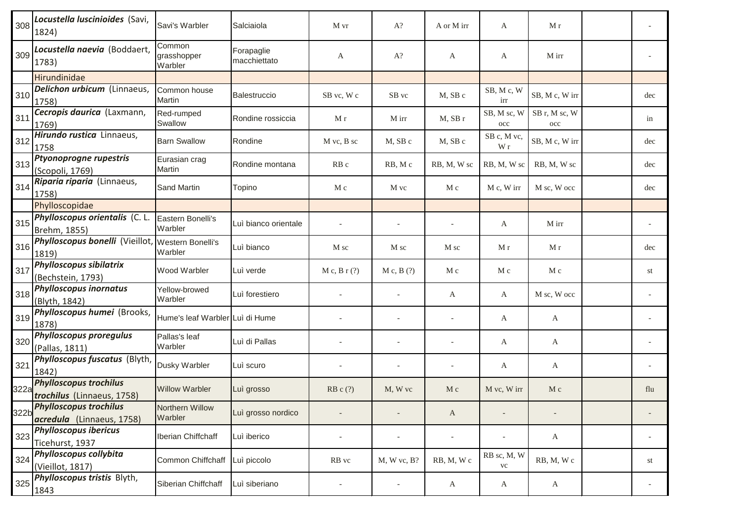| 308  | Locustella luscinioides (Savi,<br>1824)                     | Savi's Warbler                    | Salciaiola                 | M vr                     | $A$ ?                    | A or M irr               | A                  | M r                  |     |
|------|-------------------------------------------------------------|-----------------------------------|----------------------------|--------------------------|--------------------------|--------------------------|--------------------|----------------------|-----|
| 309  | Locustella naevia (Boddaert,<br>1783)                       | Common<br>grasshopper<br>Warbler  | Forapaglie<br>macchiettato | A                        | $A$ ?                    | A                        | A                  | M irr                |     |
|      | Hirundinidae                                                |                                   |                            |                          |                          |                          |                    |                      |     |
| 310  | Delichon urbicum (Linnaeus,<br>1758)                        | Common house<br><b>Martin</b>     | Balestruccio               | SB vc, W c               | SB vc                    | M, SB c                  | SB, Mc, W<br>irr   | SB, M c, W irr       | dec |
| 311  | Cecropis daurica (Laxmann,<br>1769)                         | Red-rumped<br>Swallow             | Rondine rossiccia          | M r                      | M irr                    | M, SB r                  | SB, M sc, W<br>occ | SB r, M sc, W<br>occ | in  |
| 312  | Hirundo rustica Linnaeus,<br>1758                           | <b>Barn Swallow</b>               | Rondine                    | M vc, B sc               | M, SB c                  | M, SB c                  | SB c, M vc,<br>W r | SB, M c, W irr       | dec |
| 313  | Ptyonoprogne rupestris<br>(Scopoli, 1769)                   | Eurasian crag<br>Martin           | Rondine montana            | RB <sub>c</sub>          | RB, Mc                   | RB, M, W sc              | RB, M, W sc        | RB, M, W sc          | dec |
| 314  | Riparia riparia (Linnaeus,<br>1758)                         | Sand Martin                       | Topino                     | M c                      | M vc                     | M c                      | M c, W irr         | M sc, W occ          | dec |
|      | Phylloscopidae                                              |                                   |                            |                          |                          |                          |                    |                      |     |
| 315  | Phylloscopus orientalis (C. L.<br>Brehm, 1855)              | Eastern Bonelli's<br>Warbler      | Luì bianco orientale       |                          |                          |                          | A                  | M irr                |     |
| 316  | Phylloscopus bonelli (Vieillot, Western Bonelli's<br>1819)  | Warbler                           | Luì bianco                 | M sc                     | M sc                     | M sc                     | M r                | M r                  | dec |
| 317  | <b>Phylloscopus sibilatrix</b><br>(Bechstein, 1793)         | Wood Warbler                      | Luì verde                  | $M c$ , $B r$ (?)        | M c, B(?)                | M c                      | M c                | M c                  | st  |
| 318  | <b>Phylloscopus inornatus</b><br>(Blyth, 1842)              | Yellow-browed<br>Warbler          | Luì forestiero             |                          |                          | A                        | A                  | M sc, W occ          |     |
| 319  | Phylloscopus humei (Brooks,<br>1878)                        | Hume's leaf Warbler Luì di Hume   |                            |                          |                          |                          | A                  | A                    |     |
| 320  | <b>Phylloscopus proregulus</b><br>(Pallas, 1811)            | Pallas's leaf<br>Warbler          | Luì di Pallas              |                          |                          |                          | A                  | A                    |     |
| 321  | Phylloscopus fuscatus (Blyth,<br>1842)                      | Dusky Warbler                     | Luì scuro                  |                          |                          |                          | A                  | $\mathbf{A}$         |     |
| 322a | <b>Phylloscopus trochilus</b><br>trochilus (Linnaeus, 1758) | <b>Willow Warbler</b>             | Lui grosso                 | $RB c$ (?)               | M, W vc                  | $M_{\rm c}$              | M vc, W irr        | $M_{\rm c}$          | flu |
|      | 322b Phylloscopus trochilus<br>acredula (Linnaeus, 1758)    | <b>Northern Willow</b><br>Warbler | Luì grosso nordico         |                          |                          | A                        |                    |                      |     |
| 323  | <b>Phylloscopus ibericus</b><br>Ticehurst, 1937             | Iberian Chiffchaff                | Luì iberico                | $\overline{\phantom{a}}$ |                          | $\overline{\phantom{a}}$ |                    | $\mathbf{A}$         |     |
| 324  | Phylloscopus collybita<br>(Vieillot, 1817)                  | Common Chiffchaff                 | Luì piccolo                | RB vc                    | $M, W$ vc, $B$ ?         | RB, M, Wc                | RB sc, M, W<br>vc  | RB, M, Wc            | st  |
| 325  | Phylloscopus tristis Blyth,<br>1843                         | Siberian Chiffchaff               | Luì siberiano              |                          | $\overline{\phantom{a}}$ | A                        | $\mathsf{A}$       | $\mathbf{A}$         |     |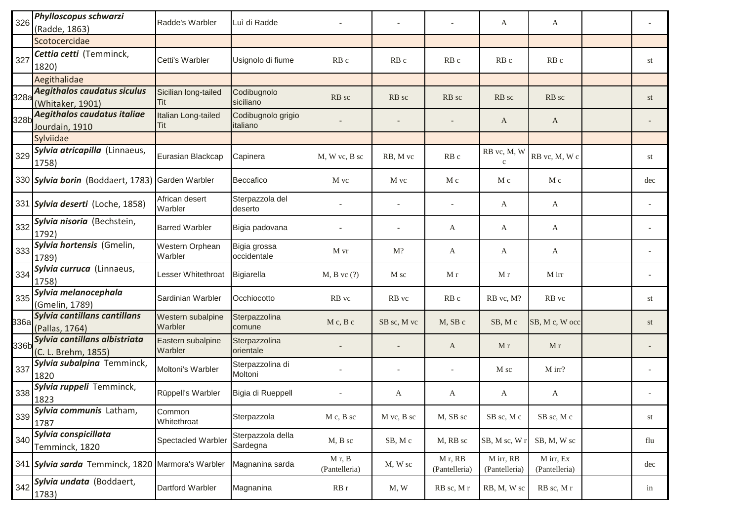| 326  | Phylloscopus schwarzi<br>(Radde, 1863)                 | Radde's Warbler              | Luì di Radde                   |                         |             |                         | A                           | A                          |     |
|------|--------------------------------------------------------|------------------------------|--------------------------------|-------------------------|-------------|-------------------------|-----------------------------|----------------------------|-----|
|      | Scotocercidae                                          |                              |                                |                         |             |                         |                             |                            |     |
| 327  | Cettia cetti (Temminck,<br>1820)                       | Cetti's Warbler              | Usignolo di fiume              | RB <sub>c</sub>         | RB c        | RB <sub>c</sub>         | RB <sub>c</sub>             | RB <sub>c</sub>            | st  |
|      | Aegithalidae                                           |                              |                                |                         |             |                         |                             |                            |     |
| 328a | <b>Aegithalos caudatus siculus</b><br>(Whitaker, 1901) | Sicilian long-tailed<br>Tit  | Codibugnolo<br>siciliano       | RB sc                   | RB sc       | RB sc                   | RB sc                       | RB sc                      | st  |
| 328b | Aegithalos caudatus italiae<br>Jourdain, 1910          | Italian Long-tailed<br>Tit   | Codibugnolo grigio<br>italiano |                         |             |                         | A                           | A                          |     |
|      | Sylviidae                                              |                              |                                |                         |             |                         |                             |                            |     |
| 329  | Sylvia atricapilla (Linnaeus,<br>1758)                 | Eurasian Blackcap            | Capinera                       | M, W vc, B sc           | RB, M vc    | RB c                    | RB vc, M, W<br>$\mathbf{c}$ | RB vc, M, W c              | st  |
|      | 330 Sylvia borin (Boddaert, 1783)                      | Garden Warbler               | Beccafico                      | M vc                    | M vc        | M c                     | M c                         | M c                        | dec |
|      | 331 Sylvia deserti (Loche, 1858)                       | African desert<br>Warbler    | Sterpazzola del<br>deserto     |                         |             |                         | A                           | A                          |     |
| 332  | Sylvia nisoria (Bechstein,<br>1792)                    | <b>Barred Warbler</b>        | Bigia padovana                 |                         |             | A                       | A                           | A                          |     |
| 333  | Sylvia hortensis (Gmelin,<br>1789)                     | Western Orphean<br>Warbler   | Bigia grossa<br>occidentale    | M vr                    | $M$ ?       | А                       | A                           | A                          |     |
| 334  | Sylvia curruca (Linnaeus,<br>1758)                     | Lesser Whitethroat           | Bigiarella                     | $M$ , $B$ vc $(?)$      | M sc        | M r                     | M r                         | M irr                      |     |
| 335  | Sylvia melanocephala<br>(Gmelin, 1789)                 | Sardinian Warbler            | Occhiocotto                    | RB vc                   | RB vc       | RB <sub>c</sub>         | RB vc, M?                   | RB vc                      | st  |
| 336a | Sylvia cantillans cantillans<br>(Pallas, 1764)         | Western subalpine<br>Warbler | Sterpazzolina<br>comune        | M c, B c                | SB sc, M vc | M, SB c                 | SB, Mc                      | SB, M c, W occ             | st  |
| 336b | Sylvia cantillans albistriata<br>(C. L. Brehm, 1855)   | Eastern subalpine<br>Warbler | Sterpazzolina<br>orientale     |                         |             | A                       | M r                         | M r                        |     |
| 337  | Sylvia subalpina Temminck,<br>1820                     | Moltoni's Warbler            | Sterpazzolina di<br>Moltoni    |                         |             |                         | M sc                        | M irr?                     |     |
| 338  | Sylvia ruppeli Temminck,<br>1823                       | Rüppell's Warbler            | Bigia di Rueppell              |                         | A           | A                       | A                           | A                          |     |
| 339  | Sylvia communis Latham,<br>1787                        | Common<br>Whitethroat        | Sterpazzola                    | $M c$ , $B$ sc          | M vc, B sc  | M, SB sc                | SB sc, M c                  | SB sc, M c                 | st  |
| 340  | Sylvia conspicillata<br>Temminck, 1820                 | Spectacled Warbler           | Sterpazzola della<br>Sardegna  | M, B sc                 | SB, Mc      | M, RB sc                | SB, M sc, W                 | SB, M, W sc                | flu |
|      | 341 Sylvia sarda Temminck, 1820 Marmora's Warbler      |                              | Magnanina sarda                | M r, B<br>(Pantelleria) | M, W sc     | Mr, RB<br>(Pantelleria) | M irr, RB<br>(Pantelleria)  | M irr, Ex<br>(Pantelleria) | dec |
| 342  | Sylvia undata (Boddaert,<br>1783)                      | Dartford Warbler             | Magnanina                      | RB r                    | M, W        | RB sc, Mr               | RB, M, W sc                 | RB sc, Mr                  | in  |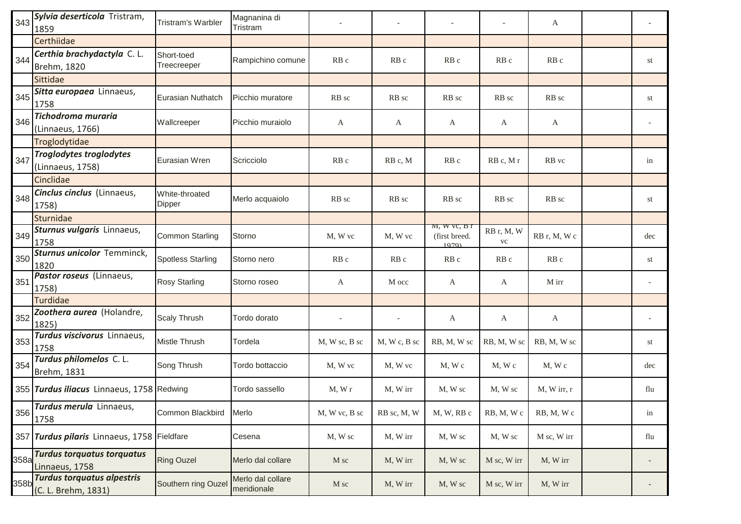| 343  | Sylvia deserticola Tristram,<br>1859                     | Tristram's Warbler        | Magnanina di<br>Tristram         |               |                 |                                       |                          | A               |                          |
|------|----------------------------------------------------------|---------------------------|----------------------------------|---------------|-----------------|---------------------------------------|--------------------------|-----------------|--------------------------|
|      | Certhiidae                                               |                           |                                  |               |                 |                                       |                          |                 |                          |
| 344  | Certhia brachydactyla C.L.<br>Brehm, 1820                | Short-toed<br>Treecreeper | Rampichino comune                | RB c          | RB c            | RB c                                  | RB c                     | RB c            | st                       |
|      | Sittidae                                                 |                           |                                  |               |                 |                                       |                          |                 |                          |
| 345  | Sitta europaea Linnaeus,<br>1758                         | Eurasian Nuthatch         | Picchio muratore                 | RB sc         | RB sc           | RB sc                                 | RB sc                    | RB sc           | st                       |
| 346  | <b>Tichodroma muraria</b><br>(Linnaeus, 1766)            | Wallcreeper               | Picchio muraiolo                 | A             | A               | A                                     | A                        | A               |                          |
|      | Troglodytidae                                            |                           |                                  |               |                 |                                       |                          |                 |                          |
| 347  | <b>Troglodytes troglodytes</b><br>(Linnaeus, 1758)       | Eurasian Wren             | Scricciolo                       | RB c          | RB c, M         | RB c                                  | RB c, M r                | RB vc           | in                       |
|      | Cinclidae                                                |                           |                                  |               |                 |                                       |                          |                 |                          |
| 348  | Cinclus cinclus (Linnaeus,<br>1758)                      | White-throated<br>Dipper  | Merlo acquaiolo                  | RB sc         | RB sc           | RB sc                                 | RB sc                    | RB sc           | st                       |
|      | Sturnidae                                                |                           |                                  |               |                 |                                       |                          |                 |                          |
| 349  | Sturnus vulgaris Linnaeus,<br>1758                       | Common Starling           | Storno                           | M, W vc       | M, W vc         | M, W, V, B<br>(first breed.)<br>1070) | RB r, M, W<br>${\rm VC}$ | RB r, M, W c    | dec                      |
| 350  | <b>Sturnus unicolor Temminck,</b><br>1820                | <b>Spotless Starling</b>  | Storno nero                      | RB c          | RB <sub>c</sub> | RB <sub>c</sub>                       | RB <sub>c</sub>          | RB <sub>c</sub> | st                       |
| 351  | Pastor roseus (Linnaeus,<br>1758)                        | <b>Rosy Starling</b>      | Storno roseo                     | А             | M occ           | A                                     | A                        | M irr           |                          |
|      | Turdidae                                                 |                           |                                  |               |                 |                                       |                          |                 |                          |
| 352  | Zoothera aurea (Holandre,<br>1825)                       | <b>Scaly Thrush</b>       | Tordo dorato                     |               |                 | A                                     | A                        | A               |                          |
| 353  | Turdus viscivorus Linnaeus,<br>1758                      | Mistle Thrush             | Tordela                          | M, W sc, B sc | M, W c, B sc    | RB, M, W sc                           | RB, M, W sc              | RB, M, W sc     | st                       |
| 354  | Turdus philomelos C. L.<br>Brehm, 1831                   | Song Thrush               | Tordo bottaccio                  | M, W vc       | M, W vc         | $M$ , W $c$                           | $M$ , $W$ $c$            | $M$ , W $c$     | dec                      |
|      | 355 Turdus iliacus Linnaeus, 1758 Redwing                |                           | Tordo sassello                   | M, Wr         | M, W irr        | M, W sc                               | M, W sc                  | M, W irr, r     | flu                      |
| 356  | Turdus merula Linnaeus,<br>1758                          | Common Blackbird          | Merlo                            | M, W vc, B sc | RB sc, M, W     | M, W, RB c                            | RB, M, Wc                | RB, M, Wc       | in                       |
|      | 357 Turdus pilaris Linnaeus, 1758 Fieldfare              |                           | Cesena                           | M, W sc       | M, W irr        | M, W sc                               | M, W sc                  | M sc, W irr     | flu                      |
| 358a | <b>Turdus torquatus torquatus</b><br>Linnaeus, 1758      | <b>Ring Ouzel</b>         | Merlo dal collare                | M sc          | M, W irr        | M, W sc                               | M sc, W irr              | M, W irr        | $\overline{\phantom{a}}$ |
| 358b | <b>Turdus torquatus alpestris</b><br>(C. L. Brehm, 1831) | Southern ring Ouzel       | Merlo dal collare<br>meridionale | M sc          | M, W irr        | M, W sc                               | M sc, W irr              | M, W irr        |                          |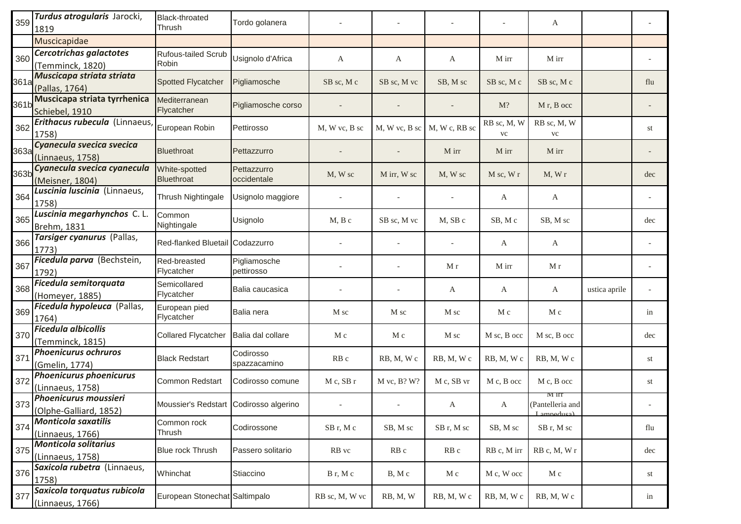| 359  | Turdus atrogularis Jarocki,<br>1819                   | <b>Black-throated</b><br>Thrush        | Tordo golanera             |                 |                  |                 |                          | A                                       |               |     |
|------|-------------------------------------------------------|----------------------------------------|----------------------------|-----------------|------------------|-----------------|--------------------------|-----------------------------------------|---------------|-----|
|      | Muscicapidae                                          |                                        |                            |                 |                  |                 |                          |                                         |               |     |
| 360  | Cercotrichas galactotes<br>(Temminck, 1820)           | <b>Rufous-tailed Scrub</b><br>Robin    | Usignolo d'Africa          | A               | A                | А               | M irr                    | M irr                                   |               |     |
| 361a | Muscicapa striata striata<br>(Pallas, 1764)           | <b>Spotted Flycatcher</b>              | Pigliamosche               | SB sc, M c      | SB sc, M vc      | SB, M sc        | SB sc, M c               | SB sc, M c                              |               | flu |
| 361b | Muscicapa striata tyrrhenica<br>Schiebel, 1910        | Mediterranean<br>Flycatcher            | Pigliamosche corso         |                 |                  |                 | $M$ ?                    | M <sub>r</sub> , B occ                  |               |     |
| 362  | Erithacus rubecula (Linnaeus,<br>1758)                | European Robin                         | Pettirosso                 | M, W vc, B sc   | M, W vc, B sc    | M, W c, RB sc   | RB sc, M, W<br><b>VC</b> | RB sc, M, W<br><b>VC</b>                |               | st  |
| 363a | Cyanecula svecica svecica<br>(Linnaeus, 1758)         | <b>Bluethroat</b>                      | Pettazzurro                |                 |                  | M irr           | M irr                    | M irr                                   |               |     |
| 363b | Cyanecula svecica cyanecula<br>(Meisner, 1804)        | White-spotted<br><b>Bluethroat</b>     | Pettazzurro<br>occidentale | M, W sc         | M irr, W sc      | M, W sc         | M sc, W r                | M, Wr                                   |               | dec |
| 364  | Luscinia luscinia (Linnaeus,<br>1758)                 | Thrush Nightingale                     | Usignolo maggiore          |                 |                  |                 | A                        | A                                       |               |     |
| 365  | Luscinia megarhynchos C.L.<br>Brehm, 1831             | Common<br>Nightingale                  | Usignolo                   | $M, B$ c        | SB sc, M vc      | M, SB c         | SB, Mc                   | SB, M sc                                |               | dec |
| 366  | Tarsiger cyanurus (Pallas,<br>1773)                   | Red-flanked Bluetail Codazzurro        |                            |                 |                  |                 | A                        | $\mathbf{A}$                            |               |     |
| 367  | Ficedula parva (Bechstein,<br>1792)                   | Red-breasted<br>Flycatcher             | Pigliamosche<br>pettirosso |                 |                  | M r             | M irr                    | M r                                     |               |     |
| 368  | Ficedula semitorquata<br>(Homeyer, 1885)              | Semicollared<br>Flycatcher             | Balia caucasica            |                 |                  | A               | A                        | $\mathbf{A}$                            | ustica aprile |     |
| 369  | Ficedula hypoleuca (Pallas,<br>1764)                  | European pied<br>Flycatcher            | Balia nera                 | M sc            | M sc             | M sc            | M c                      | M c                                     |               | in  |
| 370  | <b>Ficedula albicollis</b><br>(Temminck, 1815)        | <b>Collared Flycatcher</b>             | Balia dal collare          | M c             | M c              | M sc            | M sc, B occ              | M sc, B occ                             |               | dec |
| 371  | <b>Phoenicurus ochruros</b><br>(Gmelin, 1774)         | <b>Black Redstart</b>                  | Codirosso<br>spazzacamino  | RB <sub>c</sub> | RB, M, Wc        | RB, M, Wc       | RB, M, Wc                | RB, M, Wc                               |               | st  |
| 372  | <b>Phoenicurus phoenicurus</b><br>(Linnaeus, 1758)    | <b>Common Redstart</b>                 | Codirosso comune           | M c, SB r       | $M$ vc, $B$ ? W? | M c, SB vr      | M c, B occ               | M c, B occ                              |               | st  |
|      | $373$ Phoenicurus moussieri<br>(Olphe-Galliard, 1852) | Moussier's Redstart Codirosso algerino |                            |                 |                  | A               | A                        | M iff<br>(Pantelleria and<br>Lampeduca) |               |     |
| 374  | <b>Monticola saxatilis</b><br>(Linnaeus, 1766)        | Common rock<br>Thrush                  | Codirossone                | SB r, M c       | SB, M sc         | SB r, M sc      | SB, M sc                 | SB r, M sc                              |               | flu |
| 375  | <b>Monticola solitarius</b><br>(Linnaeus, 1758)       | Blue rock Thrush                       | Passero solitario          | RB vc           | RB <sub>c</sub>  | RB <sub>c</sub> | RB c, M irr              | RB c, M, W r                            |               | dec |
| 376  | Saxicola rubetra (Linnaeus,<br>1758)                  | Whinchat                               | Stiaccino                  | B r, M c        | B, M c           | M c             | M c, W occ               | M c                                     |               | st  |
| 377  | Saxicola torquatus rubicola<br>(Linnaeus, 1766)       | European Stonechat Saltimpalo          |                            | RB sc, M, W vc  | RB, M, W         | RB, M, Wc       | RB, M, Wc                | RB, M, Wc                               |               | in  |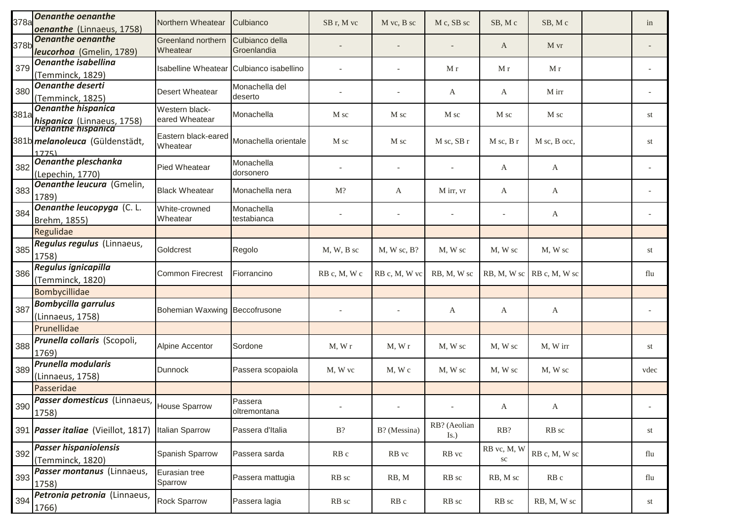| 378a | <b>Oenanthe oenanthe</b><br>oenanthe (Linnaeus, 1758)                                       | Northern Wheatear                        | Culbianco                      | SB r, M vc   | M vc, B sc     | M c, SB sc                       | SB, Mc            | SB, Mc                        | in   |
|------|---------------------------------------------------------------------------------------------|------------------------------------------|--------------------------------|--------------|----------------|----------------------------------|-------------------|-------------------------------|------|
| 378b | <b>Oenanthe oenanthe</b><br>leucorhoa (Gmelin, 1789)                                        | Greenland northern<br>Wheatear           | Culbianco della<br>Groenlandia |              |                |                                  | A                 | M vr                          |      |
| 379  | <b>Oenanthe isabellina</b><br>(Temminck, 1829)                                              | Isabelline Wheatear Culbianco isabellino |                                |              |                | M r                              | M r               | M r                           |      |
| 380  | <b>Oenanthe deserti</b><br>(Temminck, 1825)                                                 | Desert Wheatear                          | Monachella del<br>deserto      |              |                | A                                | A                 | M irr                         |      |
| 381a | <b>Oenanthe hispanica</b><br><b>hispanica</b> (Linnaeus, 1758)<br><b>Denanthe hispanica</b> | Western black-<br>eared Wheatear         | Monachella                     | M sc         | M sc           | M sc                             | M sc              | M sc                          | st   |
|      | 381b <i>melanoleuca</i> (Güldenstädt,<br>1775)                                              | Eastern black-eared<br>Wheatear          | Monachella orientale           | M sc         | M sc           | M sc, SB r                       | $M$ sc, $B$ r     | M sc, B occ,                  | st   |
| 382  | <b>Oenanthe pleschanka</b><br>(Lepechin, 1770)                                              | Pied Wheatear                            | Monachella<br>dorsonero        |              |                |                                  | A                 | A                             |      |
| 383  | Oenanthe leucura (Gmelin,<br>1789)                                                          | <b>Black Wheatear</b>                    | Monachella nera                | $M$ ?        | A              | M irr, vr                        | A                 | A                             |      |
| 384  | <b>Oenanthe leucopyga</b> (C. L.<br>Brehm, 1855)                                            | White-crowned<br>Wheatear                | Monachella<br>testabianca      |              |                | $\overline{\phantom{a}}$         |                   | A                             |      |
|      | Regulidae                                                                                   |                                          |                                |              |                |                                  |                   |                               |      |
| 385  | Regulus regulus (Linnaeus,<br>1758)                                                         | Goldcrest                                | Regolo                         | $M, W, B$ sc | $M$ , W sc, B? | M, W sc                          | M, W sc           | M, W sc                       | st   |
| 386  | Regulus ignicapilla<br>(Temminck, 1820)                                                     | <b>Common Firecrest</b>                  | Fiorrancino                    | RB c, M, W c | RB c, M, W vc  | RB, M, W sc                      |                   | $RB, M, W$ sc $RB$ c, M, W sc | flu  |
|      | Bombycillidae                                                                               |                                          |                                |              |                |                                  |                   |                               |      |
| 387  | <b>Bombycilla garrulus</b><br>(Linnaeus, 1758)                                              | Bohemian Waxwing Beccofrusone            |                                |              |                | A                                | A                 | A                             |      |
|      | Prunellidae                                                                                 |                                          |                                |              |                |                                  |                   |                               |      |
| 388  | Prunella collaris (Scopoli,<br>1769)                                                        | Alpine Accentor                          | Sordone                        | M, Wr        | M, Wr          | M, W sc                          | M, W sc           | M, W irr                      | st   |
| 389  | <b>Prunella modularis</b><br>(Linnaeus, 1758)                                               | <b>Dunnock</b>                           | Passera scopaiola              | M, W vc      | M, W c         | M, W sc                          | M, W sc           | M, W sc                       | vdec |
|      | Passeridae                                                                                  |                                          |                                |              |                |                                  |                   |                               |      |
|      | Passer domesticus (Linnaeus,<br>$1390$ $\boxed{1758}$                                       | House Sparrow                            | Passera<br>oltremontana        |              |                | $\sim$                           | A                 | A                             |      |
|      | 391 <i>Passer italiae</i> (Vieillot, 1817)                                                  | <b>Italian Sparrow</b>                   | Passera d'Italia               | $B$ ?        | B? (Messina)   | RB? (Aeolian<br>$\mathbf{I}$ s.) | RB?               | RB sc                         | st   |
| 392  | <b>Passer hispaniolensis</b><br>(Temminck, 1820)                                            | Spanish Sparrow                          | Passera sarda                  | RB c         | RB vc          | RB vc                            | RB vc, M, W<br>sc | RB c, M, W sc                 | flu  |
| 393  | Passer montanus (Linnaeus,<br>1758)                                                         | Eurasian tree<br>Sparrow                 | Passera mattugia               | RB sc        | RB, M          | RB sc                            | RB, M sc          | RB c                          | flu  |
| 394  | Petronia petronia (Linnaeus,<br>1766)                                                       | Rock Sparrow                             | Passera lagia                  | RB sc        | RB c           | RB sc                            | RB sc             | RB, M, W sc                   | st   |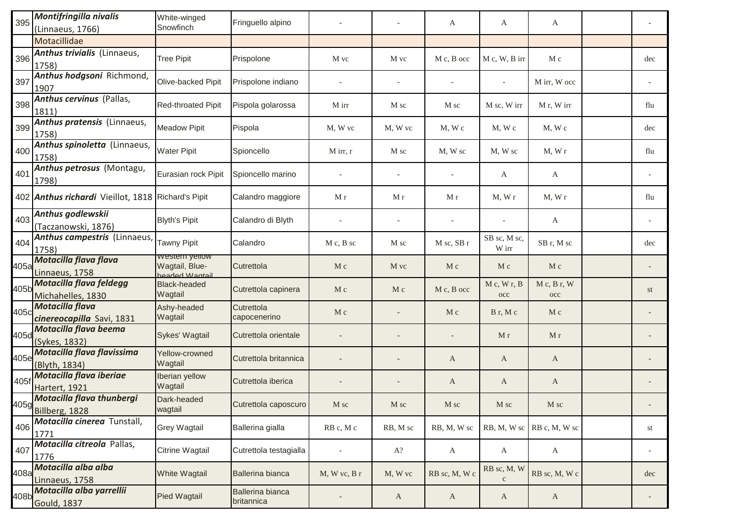| 395  | <b>Montifringilla nivalis</b><br>(Linnaeus, 1766)         | White-winged<br>Snowfinch                            | Fringuello alpino              |                  |                | A              | A                           | A                             |                          |
|------|-----------------------------------------------------------|------------------------------------------------------|--------------------------------|------------------|----------------|----------------|-----------------------------|-------------------------------|--------------------------|
|      | Motacillidae                                              |                                                      |                                |                  |                |                |                             |                               |                          |
| 396  | Anthus trivialis (Linnaeus,<br>1758)                      | <b>Tree Pipit</b>                                    | Prispolone                     | M vc             | M vc           | M c, B occ     | M c, W, B irr               | M c                           | dec                      |
| 397  | Anthus hodgsoni Richmond,<br>1907                         | Olive-backed Pipit                                   | Prispolone indiano             |                  |                |                |                             | M irr, W occ                  |                          |
| 398  | <b>Anthus cervinus</b> (Pallas,<br>1811)                  | <b>Red-throated Pipit</b>                            | Pispola golarossa              | M irr            | M sc           | M sc           | M sc, W irr                 | M r, W irr                    | flu                      |
| 399  | Anthus pratensis (Linnaeus,<br>1758)                      | <b>Meadow Pipit</b>                                  | Pispola                        | M, W vc          | M. W vc        | $M$ , W c      | $M$ , W $c$                 | $M$ , W $c$                   | dec                      |
| 400  | Anthus spinoletta (Linnaeus,<br>1758)                     | <b>Water Pipit</b>                                   | Spioncello                     | M irr, r         | M sc           | M, W sc        | M, W sc                     | M, Wr                         | flu                      |
| 401  | Anthus petrosus (Montagu,<br>1798)                        | Eurasian rock Pipit                                  | Spioncello marino              |                  |                |                | A                           | A                             |                          |
|      | 402 <b>Anthus richardi</b> Vieillot, 1818 Richard's Pipit |                                                      | Calandro maggiore              | M r              | M r            | M r            | M, Wr                       | M, Wr                         | flu                      |
| 403  | Anthus godlewskii<br>(Taczanowski, 1876)                  | <b>Blyth's Pipit</b>                                 | Calandro di Blyth              |                  |                |                |                             | A                             |                          |
| 404  | Anthus campestris (Linnaeus,<br>1758)                     | Tawny Pipit                                          | Calandro                       | $M c$ , $B$ sc   | M sc           | M sc, SB r     | SB sc, M sc,<br>W irr       | SB r, M sc                    | dec                      |
| 405a | Motacilla flava flava<br>Linnaeus, 1758                   | vvestern yellow<br>Wagtail, Blue-<br>ligtng W hehree | Cutrettola                     | M c              | M vc           | M c            | $M_{\rm c}$                 | $M_{\rm c}$                   |                          |
| 405b | Motacilla flava feldegg<br>Michahelles, 1830              | <b>Black-headed</b><br>Wagtail                       | Cutrettola capinera            | M c              | $M_{\rm c}$    | M c, B occ     | M c, W r, B<br>occ          | M c, B r, W<br>$_{\rm occ}$   | st                       |
| 405c | <b>Motacilla flava</b><br>cinereocapilla Savi, 1831       | Ashy-headed<br>Wagtail                               | Cutrettola<br>capocenerino     | M c              |                | M c            | Br, Mc                      | M c                           |                          |
| 405d | Motacilla flava beema<br>(Sykes, 1832)                    | Sykes' Wagtail                                       | Cutrettola orientale           |                  |                |                | M r                         | M r                           |                          |
| 405e | Motacilla flava flavissima<br>(Blyth, 1834)               | Yellow-crowned<br>Wagtail                            | Cutrettola britannica          |                  |                | A              | A                           | A                             |                          |
| 405f | Motacilla flava iberiae<br>Hartert, 1921                  | Iberian yellow<br>Wagtail                            | Cutrettola iberica             |                  |                | A              | A                           | A                             |                          |
|      | Motacilla flava thunbergi<br>405g<br>Billberg, 1828       | Dark-headed<br>wagtail                               | Cutrettola caposcuro           | M sc             | $\mathbf M$ sc | $\mathbf M$ sc | $\mathbf M$ sc              | $M$ sc                        |                          |
| 406  | Motacilla cinerea Tunstall,<br>1771                       | Grey Wagtail                                         | Ballerina gialla               | RB c, M c        | RB, M sc       | RB, M, W sc    |                             | $RB, M, W$ sc $RB$ c, M, W sc | st                       |
| 407  | Motacilla citreola Pallas,<br>1776                        | Citrine Wagtail                                      | Cutrettola testagialla         |                  | $A$ ?          | A              | A                           | $\mathbf{A}$                  | $\overline{\phantom{a}}$ |
| 408a | Motacilla alba alba<br>Linnaeus, 1758                     | White Wagtail                                        | Ballerina bianca               | $M, W$ vc, $B$ r | M, W vc        | RB sc, M, W c  | RB sc, M, W<br>$\mathbf{C}$ | RB sc, M, Wc                  | dec                      |
| 408b | Motacilla alba yarrellii<br><b>Gould, 1837</b>            | Pied Wagtail                                         | Ballerina bianca<br>britannica |                  | A              | $\mathbf{A}$   | A                           | $\mathbf{A}$                  |                          |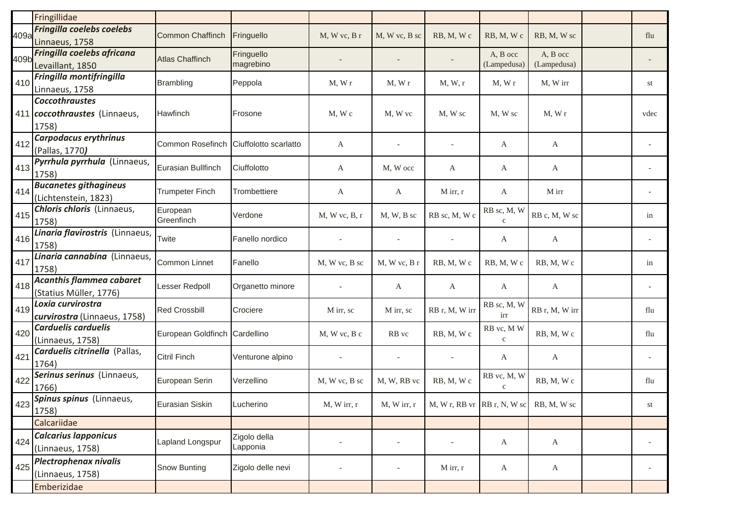|      | Fringillidae                                       |                               |                       |                          |               |                             |                             |                |      |
|------|----------------------------------------------------|-------------------------------|-----------------------|--------------------------|---------------|-----------------------------|-----------------------------|----------------|------|
| 409a | Fringilla coelebs coelebs                          | <b>Common Chaffinch</b>       | Fringuello            | $M$ , W vc, B r          | M, W vc, B sc | RB, M, Wc                   | RB, M, Wc                   | RB, M, W sc    | flu  |
|      | Linnaeus, 1758                                     |                               |                       |                          |               |                             |                             |                |      |
| 409b | Fringilla coelebs africana                         | <b>Atlas Chaffinch</b>        | Fringuello            |                          |               |                             | A, B occ                    | A, B occ       |      |
|      | Levaillant, 1850                                   |                               | magrebino             |                          |               |                             | (Lampedusa)                 | (Lampedusa)    |      |
| 410  | Fringilla montifringilla                           | <b>Brambling</b>              | Peppola               | $M$ , $Wr$               | M, Wr         | M, W, r                     | M, Wr                       | M, W irr       | st   |
|      | Linnaeus, 1758                                     |                               |                       |                          |               |                             |                             |                |      |
|      | <b>Coccothraustes</b>                              |                               |                       |                          |               |                             |                             |                |      |
|      | 411 coccothraustes (Linnaeus,                      | Hawfinch                      | Frosone               | $M$ , W $c$              | M, W vc       | M, W sc                     | M, W sc                     | $M$ , $W$ r    | vdec |
|      | 1758)                                              |                               |                       |                          |               |                             |                             |                |      |
| 412  | Carpodacus erythrinus                              | Common Rosefinch              | Ciuffolotto scarlatto | А                        |               |                             | A                           | A              |      |
|      | (Pallas, 1770)                                     |                               |                       |                          |               |                             |                             |                |      |
| 413  | Pyrrhula pyrrhula (Linnaeus,<br>1758)              | Eurasian Bullfinch            | Ciuffolotto           | А                        | M, W occ      | A                           | A                           | A              |      |
| 414  | <b>Bucanetes githagineus</b>                       | <b>Trumpeter Finch</b>        | Trombettiere          | A                        | A             | $M$ irr, r                  | A                           | M irr          |      |
|      | (Lichtenstein, 1823)<br>Chloris chloris (Linnaeus, |                               |                       |                          |               |                             |                             |                |      |
| 415  | 1758)                                              | European<br>Greenfinch        | Verdone               | M, W vc, B, r            | $M, W, B$ sc  | RB sc, M, W c               | RB sc, M, W<br>$\mathbf{C}$ | RB c, M, W sc  | in   |
|      | Linaria flavirostris (Linnaeus,                    |                               |                       |                          |               |                             |                             |                |      |
| 416  | 1758)                                              | Twite                         | Fanello nordico       |                          |               |                             | A                           | A              |      |
| 417  | Linaria cannabina (Linnaeus,<br>1758)              | Common Linnet                 | Fanello               | M, W vc, B sc            | M, W vc, B r  | RB, M, Wc                   | RB, M, Wc                   | RB, M, Wc      | in   |
| 418  | <b>Acanthis flammea cabaret</b>                    | Lesser Redpoll                | Organetto minore      |                          | A             | A                           | A                           | A              |      |
|      | (Statius Müller, 1776)<br>Loxia curvirostra        |                               |                       |                          |               |                             |                             |                |      |
| 419  | curvirostra (Linnaeus, 1758)                       | <b>Red Crossbill</b>          | Crociere              | M irr, sc                | M irr, sc     | RB r, M, W irr              | RB sc, M, W<br>irr          | RB r, M, W irr | flu  |
| 420  | <b>Carduelis carduelis</b>                         | European Goldfinch Cardellino |                       | M, W vc, B c             | RB vc         | RB, M, Wc                   | RB vc, MW                   | RB, M, Wc      | flu  |
|      | (Linnaeus, 1758)                                   |                               |                       |                          |               |                             | $\mathbf c$                 |                |      |
| 421  | Carduelis citrinella (Pallas,                      | <b>Citril Finch</b>           | Venturone alpino      |                          |               |                             | A                           | $\mathbf{A}$   |      |
|      | 1764)<br>Serinus serinus (Linnaeus,                |                               |                       |                          |               |                             |                             |                |      |
| 422  | 1766)                                              | European Serin                | Verzellino            | M, W vc, B sc            | M, W, RB vc   | RB, M, Wc                   | RB vc, M, W<br>$\mathbf{C}$ | RB, M, Wc      | flu  |
|      | 423 Spinus spinus (Linnaeus,                       | Eurasian Siskin               | Lucherino             | M, W irr, r              | $M, W$ irr, r | M, W r, RB vr RB r, N, W sc |                             | RB, M, W sc    | st   |
| −∠∪  | 1758)                                              |                               |                       |                          |               |                             |                             |                |      |
|      | Calcariidae                                        |                               |                       |                          |               |                             |                             |                |      |
| 424  | <b>Calcarius lapponicus</b>                        | Lapland Longspur              | Zigolo della          | $\overline{\phantom{0}}$ |               | $\overline{\phantom{a}}$    | $\mathbf{A}$                | $\mathbf{A}$   |      |
|      | (Linnaeus, 1758)                                   |                               | Lapponia              |                          |               |                             |                             |                |      |
| 425  | Plectrophenax nivalis                              | Snow Bunting                  |                       |                          |               | $M$ irr, r                  |                             |                |      |
|      | (Linnaeus, 1758)                                   |                               | Zigolo delle nevi     | $\overline{\phantom{a}}$ |               |                             | $\mathbf{A}$                | $\mathbf{A}$   |      |
|      | Emberizidae                                        |                               |                       |                          |               |                             |                             |                |      |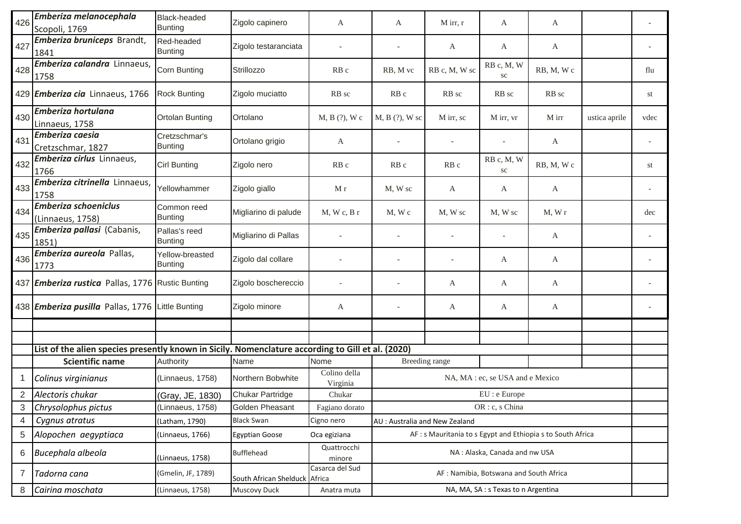| 426            | Emberiza melanocephala<br>Scopoli, 1769                                                           | <b>Black-headed</b><br><b>Bunting</b> | Zigolo capinero        | А                         | A                                | $M$ irr, r                                                  | A                                      | A                                   |               |      |  |  |  |
|----------------|---------------------------------------------------------------------------------------------------|---------------------------------------|------------------------|---------------------------|----------------------------------|-------------------------------------------------------------|----------------------------------------|-------------------------------------|---------------|------|--|--|--|
| 427            | Emberiza bruniceps Brandt,<br>1841                                                                | Red-headed<br><b>Bunting</b>          | Zigolo testaranciata   |                           |                                  | A                                                           | A                                      | A                                   |               |      |  |  |  |
| 428            | Emberiza calandra Linnaeus,<br>1758                                                               | Corn Bunting                          | Strillozzo             | RB <sub>c</sub>           | RB, M vc                         | RB c, M, W sc                                               | RB c, M, W<br>SC                       | RB, M, Wc                           |               | flu  |  |  |  |
|                | 429 Emberiza cia Linnaeus, 1766                                                                   | <b>Rock Bunting</b>                   | Zigolo muciatto        | RB sc                     | RB <sub>c</sub>                  | RB sc                                                       | RB sc                                  | RB sc                               |               | st   |  |  |  |
| 430            | Emberiza hortulana<br>Linnaeus, 1758                                                              | <b>Ortolan Bunting</b>                | Ortolano               | M, B (?), W c             | M, B (?), W sc                   | M irr, sc                                                   | M irr, vr                              | M irr                               | ustica aprile | vdec |  |  |  |
| 431            | <b>Emberiza caesia</b><br>Cretzschmar, 1827                                                       | Cretzschmar's<br><b>Bunting</b>       | Ortolano grigio        | A                         |                                  |                                                             |                                        | A                                   |               |      |  |  |  |
| 432            | Emberiza cirlus Linnaeus,<br>1766                                                                 | Cirl Bunting                          | Zigolo nero            | RB c                      | RB <sub>c</sub>                  | RB c                                                        | RB c, M, W<br>$\rm{sc}$                | RB, M, Wc                           |               | st   |  |  |  |
| 433            | Emberiza citrinella Linnaeus,<br>1758                                                             | Yellowhammer                          | Zigolo giallo          | M r                       | M, W sc                          | A                                                           | A                                      | A                                   |               |      |  |  |  |
| 434            | <b>Emberiza schoeniclus</b><br>(Linnaeus, 1758)                                                   | Common reed<br><b>Bunting</b>         | Migliarino di palude   | M, Wc, Br                 | M, Wc                            | M, W sc                                                     | M, W sc                                | M, Wr                               |               | dec  |  |  |  |
| 435            | Emberiza pallasi (Cabanis,<br>1851)                                                               | Pallas's reed<br><b>Bunting</b>       | Migliarino di Pallas   |                           |                                  |                                                             |                                        | A                                   |               |      |  |  |  |
| 436            | Emberiza aureola Pallas,<br>1773                                                                  | Yellow-breasted<br><b>Bunting</b>     | Zigolo dal collare     |                           |                                  |                                                             | A                                      | A                                   |               |      |  |  |  |
|                | 437 Emberiza rustica Pallas, 1776 Rustic Bunting                                                  |                                       | Zigolo boschereccio    |                           |                                  | A                                                           | A                                      | A                                   |               |      |  |  |  |
|                | 438 Emberiza pusilla Pallas, 1776 Little Bunting                                                  |                                       | Zigolo minore          | A                         |                                  | A                                                           | A                                      | A                                   |               |      |  |  |  |
|                |                                                                                                   |                                       |                        |                           |                                  |                                                             |                                        |                                     |               |      |  |  |  |
|                | List of the alien species presently known in Sicily. Nomenclature according to Gill et al. (2020) |                                       |                        |                           |                                  |                                                             |                                        |                                     |               |      |  |  |  |
|                | <b>Scientific name</b>                                                                            | Authority                             | Name                   | Nome                      | Breeding range                   |                                                             |                                        |                                     |               |      |  |  |  |
|                | Colinus virginianus                                                                               | (Linnaeus, 1758)                      | Northern Bobwhite      | Colino della<br>Virginia  | NA, MA : ec, se USA and e Mexico |                                                             |                                        |                                     |               |      |  |  |  |
| $\overline{2}$ | Alectoris chukar                                                                                  | (Gray, JE, 1830)                      | Chukar Partridge       | Chukar                    | EU : e Europe                    |                                                             |                                        |                                     |               |      |  |  |  |
| 3              | Chrysolophus pictus                                                                               | (Linnaeus, 1758)                      | Golden Pheasant        | Fagiano dorato            | OR : c, s China                  |                                                             |                                        |                                     |               |      |  |  |  |
| 4              | Cygnus atratus                                                                                    | (Latham, 1790)                        | <b>Black Swan</b>      | Cigno nero                | AU : Australia and New Zealand   |                                                             |                                        |                                     |               |      |  |  |  |
| 5              | Alopochen aegyptiaca                                                                              | (Linnaeus, 1766)                      | <b>Egyptian Goose</b>  | Oca egiziana              |                                  | AF : s Mauritania to s Egypt and Ethiopia s to South Africa |                                        |                                     |               |      |  |  |  |
| 6              | Bucephala albeola                                                                                 | (Linnaeus, 1758)                      | <b>Bufflehead</b>      | Quattrocchi<br>minore     |                                  |                                                             | NA: Alaska, Canada and nw USA          |                                     |               |      |  |  |  |
| 7              | Tadorna cana                                                                                      | (Gmelin, JF, 1789)                    | South African Shelduck | Casarca del Sud<br>Africa |                                  |                                                             | AF: Namibia, Botswana and South Africa |                                     |               |      |  |  |  |
| 8              | Cairina moschata                                                                                  | (Linnaeus, 1758)                      | Muscovy Duck           | Anatra muta               |                                  |                                                             |                                        | NA, MA, SA : s Texas to n Argentina |               |      |  |  |  |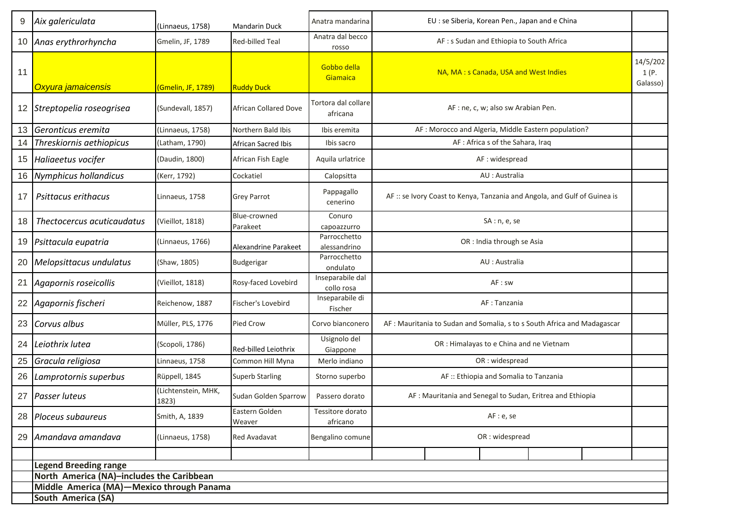| 9  | Aix galericulata                          | (Linnaeus, 1758)             | <b>Mandarin Duck</b>         | Anatra mandarina                | EU : se Siberia, Korean Pen., Japan and e China                           |  |  |  |  |  |
|----|-------------------------------------------|------------------------------|------------------------------|---------------------------------|---------------------------------------------------------------------------|--|--|--|--|--|
| 10 | Anas erythrorhyncha                       | Gmelin, JF, 1789             | Red-billed Teal              | Anatra dal becco<br>rosso       | AF: s Sudan and Ethiopia to South Africa                                  |  |  |  |  |  |
| 11 | Oxyura jamaicensis                        | (Gmelin, JF, 1789)           | <b>Ruddy Duck</b>            | Gobbo della<br>Giamaica         | NA, MA: s Canada, USA and West Indies                                     |  |  |  |  |  |
| 12 | Streptopelia roseogrisea                  | (Sundevall, 1857)            | <b>African Collared Dove</b> | Tortora dal collare<br>africana | AF : ne, c, w; also sw Arabian Pen.                                       |  |  |  |  |  |
| 13 | Geronticus eremita                        | (Linnaeus, 1758)             | Northern Bald Ibis           | Ibis eremita                    | AF : Morocco and Algeria, Middle Eastern population?                      |  |  |  |  |  |
| 14 | Threskiornis aethiopicus                  | (Latham, 1790)               | African Sacred Ibis          | Ibis sacro                      | AF: Africa s of the Sahara, Iraq                                          |  |  |  |  |  |
| 15 | Haliaeetus vocifer                        | (Daudin, 1800)               | African Fish Eagle           | Aquila urlatrice                | AF: widespread                                                            |  |  |  |  |  |
| 16 | <b>Nymphicus hollandicus</b>              | (Kerr, 1792)                 | Cockatiel                    | Calopsitta                      | AU : Australia                                                            |  |  |  |  |  |
| 17 | Psittacus erithacus                       | Linnaeus, 1758               | Grey Parrot                  | Pappagallo<br>cenerino          | AF :: se Ivory Coast to Kenya, Tanzania and Angola, and Gulf of Guinea is |  |  |  |  |  |
| 18 | Thectocercus acuticaudatus                | (Vieillot, 1818)             | Blue-crowned<br>Parakeet     | Conuro<br>capoazzurro           | SA: n, e, se                                                              |  |  |  |  |  |
| 19 | Psittacula eupatria                       | (Linnaeus, 1766)             | Alexandrine Parakeet         | Parrocchetto<br>alessandrino    | OR : India through se Asia                                                |  |  |  |  |  |
| 20 | Melopsittacus undulatus                   | (Shaw, 1805)                 | Budgerigar                   | Parrocchetto<br>ondulato        | AU : Australia                                                            |  |  |  |  |  |
| 21 | Agapornis roseicollis                     | (Vieillot, 1818)             | Rosy-faced Lovebird          | Inseparabile dal<br>collo rosa  | AF : sw                                                                   |  |  |  |  |  |
| 22 | Agapornis fischeri                        | Reichenow, 1887              | Fischer's Lovebird           | Inseparabile di<br>Fischer      | AF : Tanzania                                                             |  |  |  |  |  |
| 23 | Corvus albus                              | Müller, PLS, 1776            | Pied Crow                    | Corvo bianconero                | AF: Mauritania to Sudan and Somalia, s to s South Africa and Madagascar   |  |  |  |  |  |
| 24 | Leiothrix lutea                           | (Scopoli, 1786)              | Red-billed Leiothrix         | Usignolo del<br>Giappone        | OR : Himalayas to e China and ne Vietnam                                  |  |  |  |  |  |
| 25 | Gracula religiosa                         | Linnaeus, 1758               | Common Hill Myna             | Merlo indiano                   | OR: widespread                                                            |  |  |  |  |  |
| 26 | Lamprotornis superbus                     | Rüppell, 1845                | <b>Superb Starling</b>       | Storno superbo                  | AF :: Ethiopia and Somalia to Tanzania                                    |  |  |  |  |  |
| 27 | Passer luteus                             | (Lichtenstein, MHK,<br>1823) | Sudan Golden Sparrow         | Passero dorato                  | AF: Mauritania and Senegal to Sudan, Eritrea and Ethiopia                 |  |  |  |  |  |
| 28 | Ploceus subaureus                         | Smith, A, 1839               | Eastern Golden<br>Weaver     | Tessitore dorato<br>africano    | AF: e, se                                                                 |  |  |  |  |  |
| 29 | Amandava amandava                         | (Linnaeus, 1758)             | Red Avadavat                 | Bengalino comune                | OR: widespread                                                            |  |  |  |  |  |
|    |                                           |                              |                              |                                 |                                                                           |  |  |  |  |  |
|    | <b>Legend Breeding range</b>              |                              |                              |                                 |                                                                           |  |  |  |  |  |
|    | North America (NA)-includes the Caribbean |                              |                              |                                 |                                                                           |  |  |  |  |  |
|    | Middle America (MA)-Mexico through Panama |                              |                              |                                 |                                                                           |  |  |  |  |  |
|    | South America (SA)                        |                              |                              |                                 |                                                                           |  |  |  |  |  |